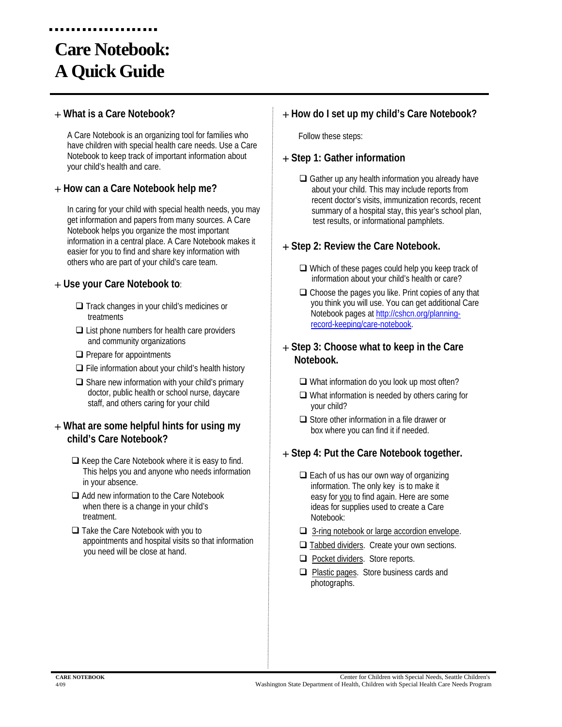## **Care Notebook: A Quick Guide**

#### **What is a Care Notebook?**

A Care Notebook is an organizing tool for families who have children with special health care needs. Use a Care Notebook to keep track of important information about your child's health and care.

#### **How can a Care Notebook help me?**

In caring for your child with special health needs, you may get information and papers from many sources. A Care Notebook helps you organize the most important information in a central place. A Care Notebook makes it easier for you to find and share key information with others who are part of your child's care team.

#### **Use your Care Notebook to**:

- $\Box$  Track changes in your child's medicines or treatments
- $\Box$  List phone numbers for health care providers and community organizations
- $\Box$  Prepare for appointments
- $\Box$  File information about your child's health history
- $\Box$  Share new information with your child's primary doctor, public health or school nurse, daycare staff, and others caring for your child

#### **What are some helpful hints for using my child's Care Notebook?**

- $\Box$  Keep the Care Notebook where it is easy to find. This helps you and anyone who needs information in your absence.
- □ Add new information to the Care Notebook when there is a change in your child's treatment.
- □ Take the Care Notebook with you to appointments and hospital visits so that information you need will be close at hand.

#### **How do I set up my child's Care Notebook?**

Follow these steps:

#### **Step 1: Gather information**

 $\Box$  Gather up any health information you already have about your child. This may include reports from recent doctor's visits, immunization records, recent summary of a hospital stay, this year's school plan, test results, or informational pamphlets.

#### **Step 2: Review the Care Notebook.**

- $\Box$  Which of these pages could help you keep track of information about your child's health or care?
- $\Box$  Choose the pages you like. Print copies of any that you think you will use. You can get additional Care Notebook pages at [http://cshcn.org/planning](http://cshcn.org/planning-record-keeping/care-notebook)[record-keeping/care-notebook](http://cshcn.org/planning-record-keeping/care-notebook).

#### **Step 3: Choose what to keep in the Care Notebook.**

- $\Box$  What information do you look up most often?
- $\Box$  What information is needed by others caring for your child?
- $\Box$  Store other information in a file drawer or box where you can find it if needed.

#### **Step 4: Put the Care Notebook together.**

- $\Box$  Each of us has our own way of organizing information. The only key is to make it easy for you to find again. Here are some ideas for supplies used to create a Care Notebook:
- □ 3-ring notebook or large accordion envelope.
- $\Box$  Tabbed dividers. Create your own sections.
- **Pocket dividers. Store reports.**
- □ Plastic pages. Store business cards and photographs.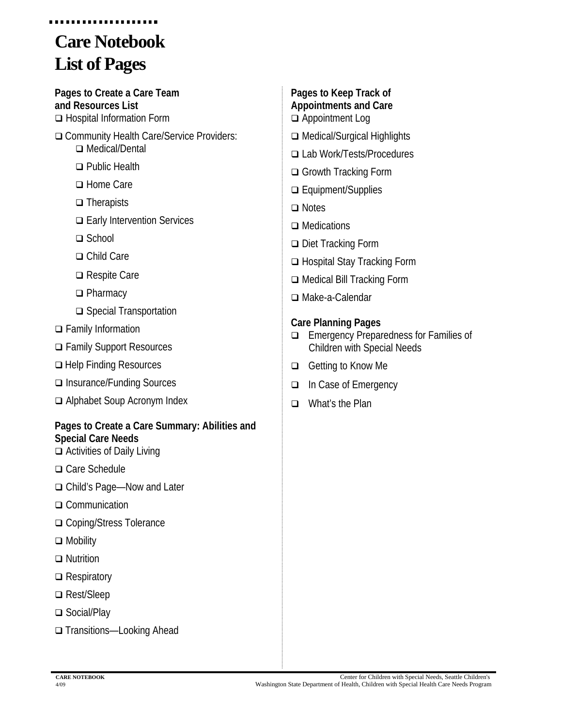## **Care Notebook List of Pages**

**Pages to Create a Care Team and Resources List**  □ Hospital Information Form

- □ Community Health Care/Service Providers: □ Medical/Dental
	- □ Public Health
	- □ Home Care
	- □ Therapists
	- **□ Early Intervention Services**
	- □ School
	- □ Child Care
	- **□** Respite Care
	- □ Pharmacy
	- □ Special Transportation
- □ Family Information
- Family Support Resources
- □ Help Finding Resources
- □ Insurance/Funding Sources
- Alphabet Soup Acronym Index

#### **Pages to Create a Care Summary: Abilities and Special Care Needs**

- Activities of Daily Living
- □ Care Schedule
- Child's Page—Now and Later
- □ Communication
- □ Coping/Stress Tolerance
- **□** Mobility
- □ Nutrition
- **□** Respiratory
- □ Rest/Sleep
- □ Social/Play
- □ Transitions—Looking Ahead
- **Pages to Keep Track of Appointments and Care**  Appointment Log
- □ Medical/Surgical Highlights
- Lab Work/Tests/Procedures
- □ Growth Tracking Form
- □ Equipment/Supplies
- □ Notes
- □ Medications
- Diet Tracking Form
- □ Hospital Stay Tracking Form
- □ Medical Bill Tracking Form
- Make-a-Calendar

#### **Care Planning Pages**

- Emergency Preparedness for Families of Children with Special Needs
- □ Getting to Know Me
- □ In Case of Emergency
- □ What's the Plan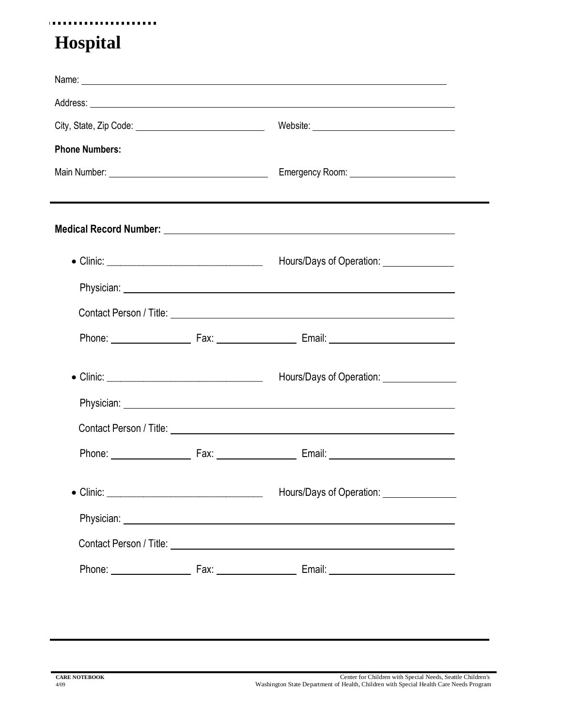#### . . . . . . . . . . . . . . . . . . .

## **Hospital**

|                       |  | Address: <u>Address:</u> Address: Address: Address: Address: Address: Address: Address: Address: Address: Address: Address: Address: Address: Address: Address: Address: Address: Address: Address: Address: Address: Address: Addr |  |
|-----------------------|--|-------------------------------------------------------------------------------------------------------------------------------------------------------------------------------------------------------------------------------------|--|
|                       |  | Website: <u>_________________________________</u>                                                                                                                                                                                   |  |
| <b>Phone Numbers:</b> |  |                                                                                                                                                                                                                                     |  |
|                       |  |                                                                                                                                                                                                                                     |  |
|                       |  | ,我们也不会有什么。""我们的人,我们也不会有什么?""我们的人,我们也不会有什么?""我们的人,我们也不会有什么?""我们的人,我们也不会有什么?""我们的人                                                                                                                                                    |  |
|                       |  |                                                                                                                                                                                                                                     |  |
|                       |  | Hours/Days of Operation: _______________                                                                                                                                                                                            |  |
|                       |  |                                                                                                                                                                                                                                     |  |
|                       |  |                                                                                                                                                                                                                                     |  |
|                       |  |                                                                                                                                                                                                                                     |  |
|                       |  | Hours/Days of Operation: ________________                                                                                                                                                                                           |  |
|                       |  |                                                                                                                                                                                                                                     |  |
|                       |  |                                                                                                                                                                                                                                     |  |
|                       |  |                                                                                                                                                                                                                                     |  |
|                       |  | Hours/Days of Operation: _________________                                                                                                                                                                                          |  |
|                       |  |                                                                                                                                                                                                                                     |  |
|                       |  | Contact Person / Title: <u>Contact Person / Title:</u>                                                                                                                                                                              |  |
|                       |  |                                                                                                                                                                                                                                     |  |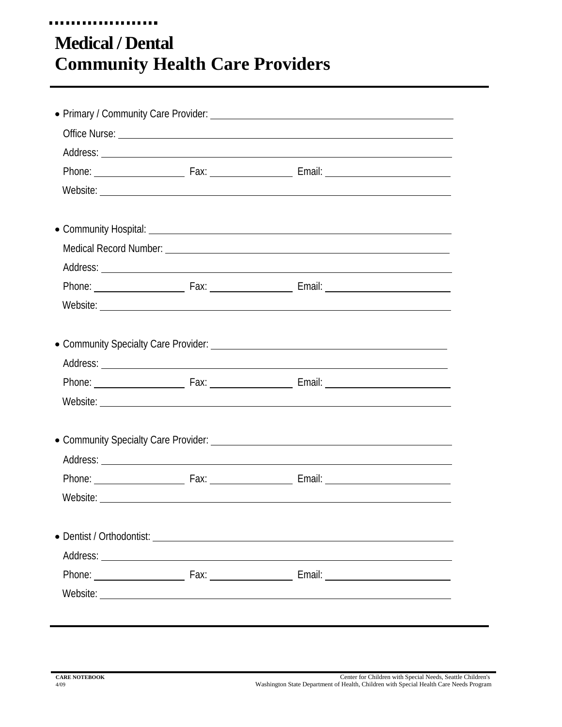## **Medical / Dental Community Health Care Providers**

u u u u

. . . . . .

**ALC N** 

|  | Office Nurse: <u>example and the set of the set of the set of the set of the set of the set of the set of the set of the set of the set of the set of the set of the set of the set of the set of the set of the set of the set </u> |  |
|--|--------------------------------------------------------------------------------------------------------------------------------------------------------------------------------------------------------------------------------------|--|
|  |                                                                                                                                                                                                                                      |  |
|  |                                                                                                                                                                                                                                      |  |
|  |                                                                                                                                                                                                                                      |  |
|  |                                                                                                                                                                                                                                      |  |
|  |                                                                                                                                                                                                                                      |  |
|  |                                                                                                                                                                                                                                      |  |
|  |                                                                                                                                                                                                                                      |  |
|  |                                                                                                                                                                                                                                      |  |
|  |                                                                                                                                                                                                                                      |  |
|  |                                                                                                                                                                                                                                      |  |
|  |                                                                                                                                                                                                                                      |  |
|  |                                                                                                                                                                                                                                      |  |
|  |                                                                                                                                                                                                                                      |  |
|  |                                                                                                                                                                                                                                      |  |
|  |                                                                                                                                                                                                                                      |  |
|  |                                                                                                                                                                                                                                      |  |
|  |                                                                                                                                                                                                                                      |  |
|  |                                                                                                                                                                                                                                      |  |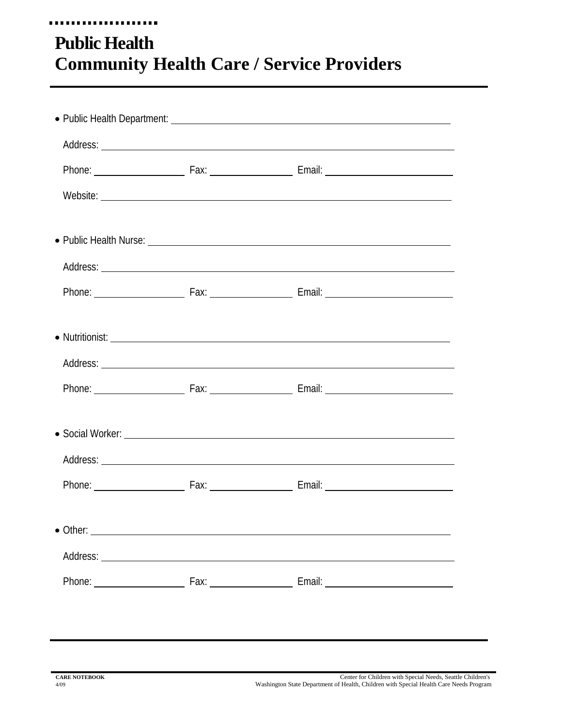#### u u u u . . . . **Public Health Community Health Care / Service Providers**

|  | Website: <u>with the contract of the contract of the contract of the contract of the contract of the contract of the contract of the contract of the contract of the contract of the contract of the contract of the contract of</u> |  |
|--|--------------------------------------------------------------------------------------------------------------------------------------------------------------------------------------------------------------------------------------|--|
|  | • Public Health Nurse: <u>example and the set of the set of the set of the set of the set of the set of the set of the set of the set of the set of the set of the set of the set of the set of the set of the set of the set of</u> |  |
|  |                                                                                                                                                                                                                                      |  |
|  |                                                                                                                                                                                                                                      |  |
|  |                                                                                                                                                                                                                                      |  |
|  |                                                                                                                                                                                                                                      |  |
|  |                                                                                                                                                                                                                                      |  |
|  |                                                                                                                                                                                                                                      |  |
|  |                                                                                                                                                                                                                                      |  |
|  |                                                                                                                                                                                                                                      |  |
|  |                                                                                                                                                                                                                                      |  |
|  |                                                                                                                                                                                                                                      |  |
|  |                                                                                                                                                                                                                                      |  |
|  |                                                                                                                                                                                                                                      |  |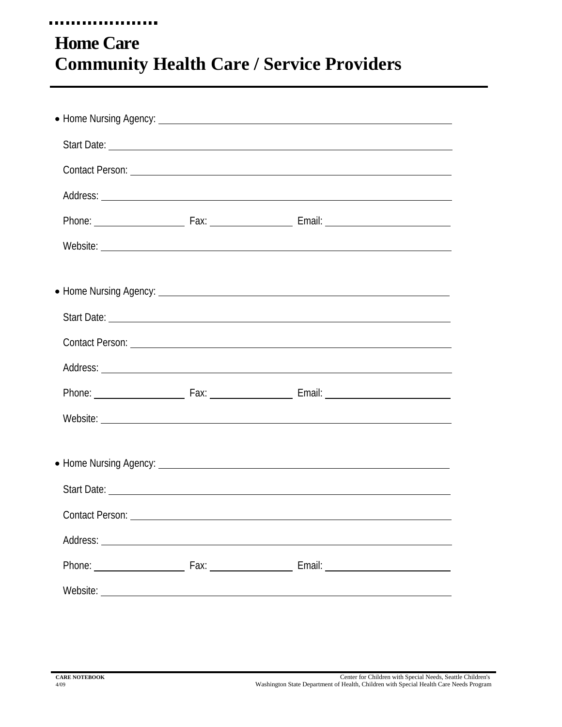#### u u u u ..... **Home Care Community Health Care / Service Providers**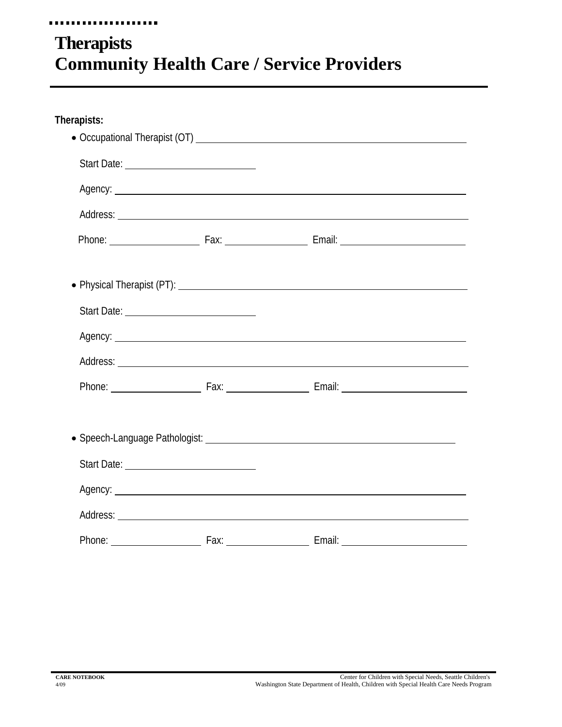#### . . . . . . . ,,,,,,, **Therapists Community Health Care / Service Providers**

| Therapists: |                                                                                                                                                                                                                                      |                                                                                                                                                                                                                                      |  |
|-------------|--------------------------------------------------------------------------------------------------------------------------------------------------------------------------------------------------------------------------------------|--------------------------------------------------------------------------------------------------------------------------------------------------------------------------------------------------------------------------------------|--|
|             |                                                                                                                                                                                                                                      |                                                                                                                                                                                                                                      |  |
|             | Start Date: <u>________________________________</u>                                                                                                                                                                                  |                                                                                                                                                                                                                                      |  |
|             | Agency: <u>example and a series of the series of the series of the series of the series of the series of the series of the series of the series of the series of the series of the series of the series of the series of the ser</u> |                                                                                                                                                                                                                                      |  |
|             |                                                                                                                                                                                                                                      |                                                                                                                                                                                                                                      |  |
|             |                                                                                                                                                                                                                                      |                                                                                                                                                                                                                                      |  |
|             |                                                                                                                                                                                                                                      |                                                                                                                                                                                                                                      |  |
|             |                                                                                                                                                                                                                                      |                                                                                                                                                                                                                                      |  |
|             |                                                                                                                                                                                                                                      | Agency: example and a series of the series of the series of the series of the series of the series of the series of the series of the series of the series of the series of the series of the series of the series of the seri       |  |
|             |                                                                                                                                                                                                                                      |                                                                                                                                                                                                                                      |  |
|             |                                                                                                                                                                                                                                      | Phone: Fax: Fax: Fax: Email:                                                                                                                                                                                                         |  |
|             |                                                                                                                                                                                                                                      |                                                                                                                                                                                                                                      |  |
|             |                                                                                                                                                                                                                                      |                                                                                                                                                                                                                                      |  |
|             |                                                                                                                                                                                                                                      | Agency: <u>example and a series of the series of the series of the series of the series of the series of the series of the series of the series of the series of the series of the series of the series of the series of the ser</u> |  |
|             |                                                                                                                                                                                                                                      |                                                                                                                                                                                                                                      |  |
|             |                                                                                                                                                                                                                                      |                                                                                                                                                                                                                                      |  |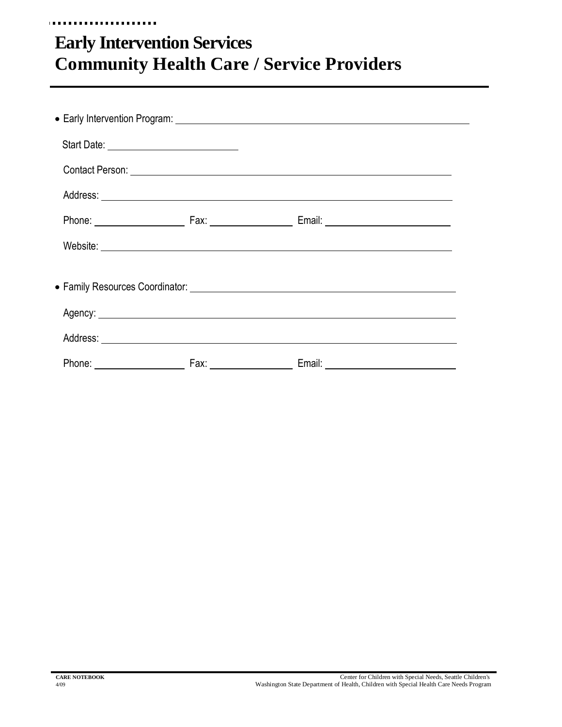## **Early Intervention Services Community Health Care / Service Providers**

| Start Date: <u>___________________________</u> |                                                                                                                                                                                                                                |  |
|------------------------------------------------|--------------------------------------------------------------------------------------------------------------------------------------------------------------------------------------------------------------------------------|--|
|                                                |                                                                                                                                                                                                                                |  |
|                                                |                                                                                                                                                                                                                                |  |
|                                                |                                                                                                                                                                                                                                |  |
|                                                |                                                                                                                                                                                                                                |  |
|                                                |                                                                                                                                                                                                                                |  |
|                                                | Agency: Agency: Agency: Agency: Agency: Agency: Agency: Agency: Agency: Agency: Agency: Agency: Agency: Agency: Agency: Agency: Agency: Agency: Agency: Agency: Agency: Agency: Agency: Agency: Agency: Agency: Agency: Agency |  |
|                                                |                                                                                                                                                                                                                                |  |
|                                                |                                                                                                                                                                                                                                |  |

.............

........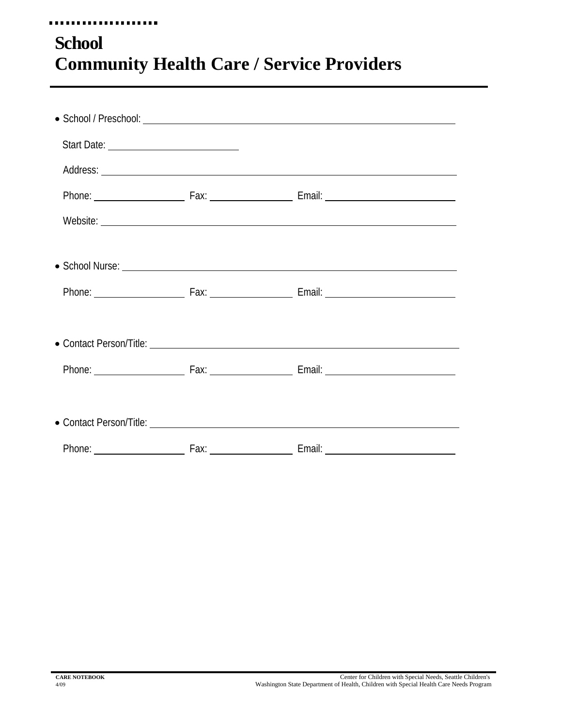### . . . . . . . . . . . . **School Community Health Care / Service Providers**

**FRE**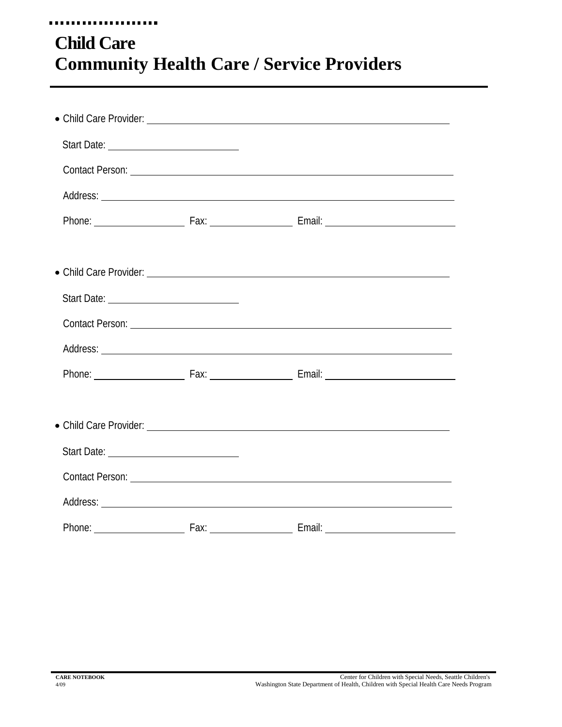#### . . . . . . **ALC A Child Care Community Health Care / Service Providers**

|        |                                          | Contact Person: Letter and the contract of the contract of the contract of the contract of the contract of the contract of the contract of the contract of the contract of the contract of the contract of the contract of the |  |
|--------|------------------------------------------|--------------------------------------------------------------------------------------------------------------------------------------------------------------------------------------------------------------------------------|--|
|        |                                          |                                                                                                                                                                                                                                |  |
|        |                                          |                                                                                                                                                                                                                                |  |
|        |                                          |                                                                                                                                                                                                                                |  |
|        |                                          |                                                                                                                                                                                                                                |  |
|        |                                          |                                                                                                                                                                                                                                |  |
|        |                                          |                                                                                                                                                                                                                                |  |
|        |                                          |                                                                                                                                                                                                                                |  |
|        |                                          |                                                                                                                                                                                                                                |  |
|        |                                          |                                                                                                                                                                                                                                |  |
|        |                                          |                                                                                                                                                                                                                                |  |
|        |                                          |                                                                                                                                                                                                                                |  |
|        |                                          | Contact Person: Lawrence and Contact Person:                                                                                                                                                                                   |  |
|        |                                          |                                                                                                                                                                                                                                |  |
| Phone: | <u>and the second second second</u> Fax: | <b>Email:</b> Email:                                                                                                                                                                                                           |  |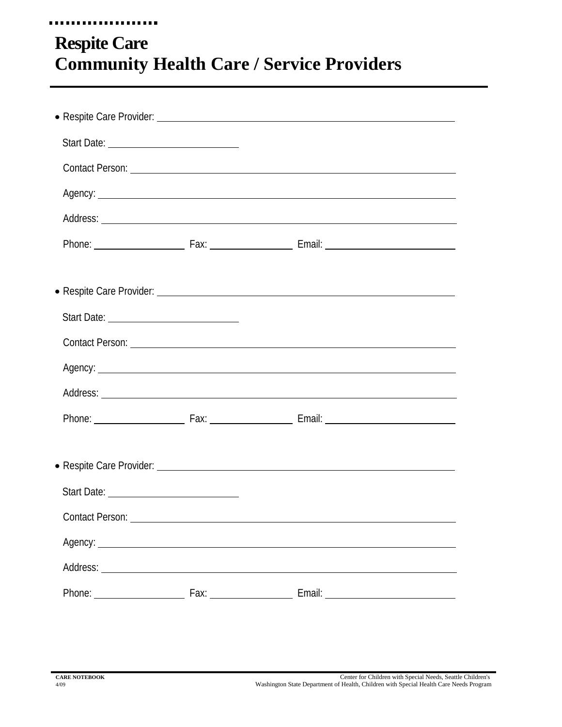### ..... **Respite Care Community Health Care / Service Providers**

|                 | Agency: Agency:                                                                                                                                                                                                                      |
|-----------------|--------------------------------------------------------------------------------------------------------------------------------------------------------------------------------------------------------------------------------------|
|                 |                                                                                                                                                                                                                                      |
|                 |                                                                                                                                                                                                                                      |
|                 |                                                                                                                                                                                                                                      |
|                 |                                                                                                                                                                                                                                      |
|                 |                                                                                                                                                                                                                                      |
|                 |                                                                                                                                                                                                                                      |
|                 |                                                                                                                                                                                                                                      |
|                 |                                                                                                                                                                                                                                      |
|                 |                                                                                                                                                                                                                                      |
|                 |                                                                                                                                                                                                                                      |
|                 |                                                                                                                                                                                                                                      |
|                 |                                                                                                                                                                                                                                      |
| Contact Person: |                                                                                                                                                                                                                                      |
|                 | Agency: <u>example and a series of the series of the series of the series of the series of the series of the series of the series of the series of the series of the series of the series of the series of the series of the ser</u> |
|                 |                                                                                                                                                                                                                                      |
|                 |                                                                                                                                                                                                                                      |
|                 |                                                                                                                                                                                                                                      |

. . . .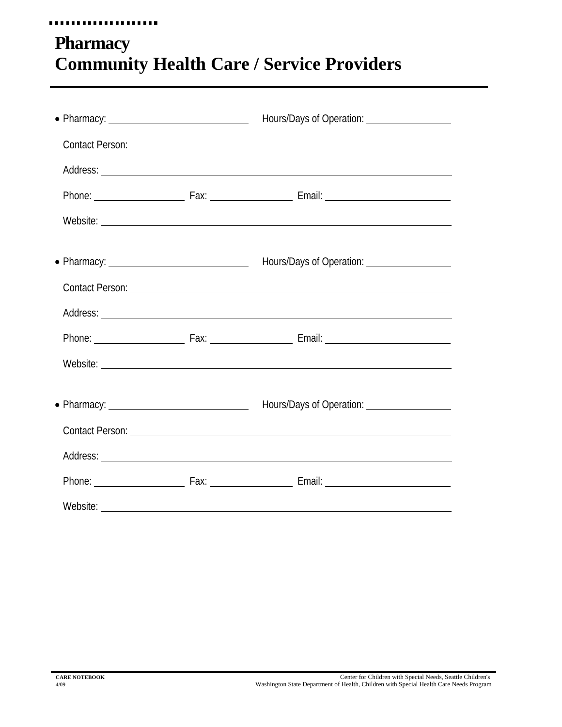#### ...................

## **Pharmacy Community Health Care / Service Providers**

|  | Hours/Days of Operation: ___________________                                            |
|--|-----------------------------------------------------------------------------------------|
|  | Contact Person: Law and Contact Person: Law and Contact Person: Law and Contact Person: |
|  |                                                                                         |
|  |                                                                                         |
|  |                                                                                         |
|  |                                                                                         |
|  |                                                                                         |
|  |                                                                                         |
|  |                                                                                         |
|  |                                                                                         |
|  |                                                                                         |
|  |                                                                                         |
|  |                                                                                         |
|  |                                                                                         |
|  |                                                                                         |
|  |                                                                                         |
|  |                                                                                         |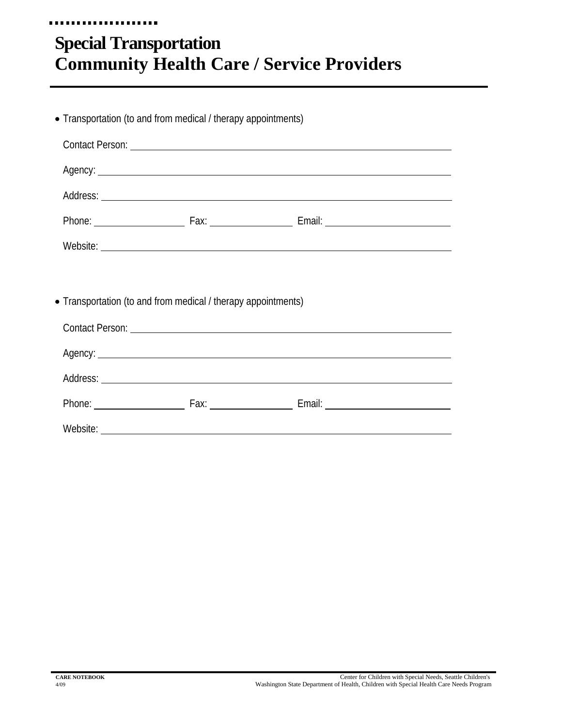## **Special Transportation Community Health Care / Service Providers**

....................

| • Transportation (to and from medical / therapy appointments) |                 |  |
|---------------------------------------------------------------|-----------------|--|
|                                                               |                 |  |
|                                                               | Agency: Agency: |  |
|                                                               |                 |  |
|                                                               |                 |  |
|                                                               |                 |  |
|                                                               |                 |  |
| • Transportation (to and from medical / therapy appointments) |                 |  |
|                                                               |                 |  |
|                                                               | Agency: Agency: |  |
|                                                               |                 |  |
|                                                               |                 |  |
|                                                               |                 |  |
|                                                               |                 |  |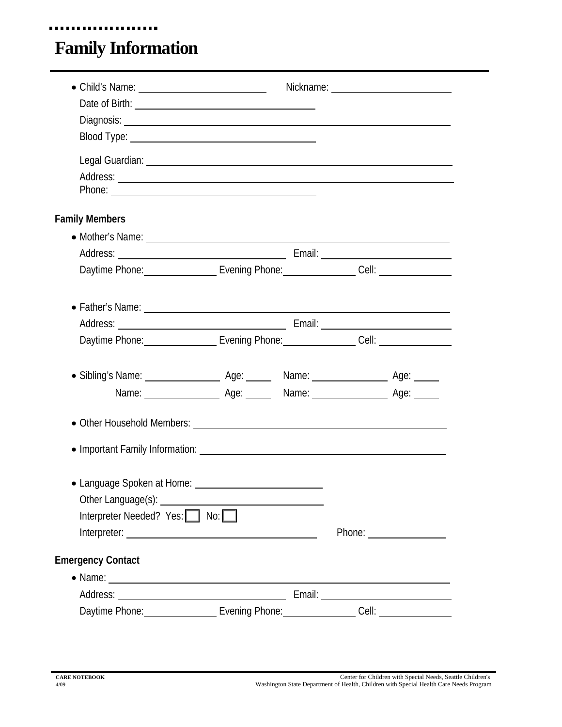## **Family Information**

...................

| Date of Birth: <u>contract the contract of Birth:</u>                                                                                                                                                                          |  |  |
|--------------------------------------------------------------------------------------------------------------------------------------------------------------------------------------------------------------------------------|--|--|
| Legal Guardian: Legal Superior Contract Contract Contract Contract Contract Contract Contract Contract Contract Contract Contract Contract Contract Contract Contract Contract Contract Contract Contract Contract Contract Co |  |  |
| <b>Family Members</b>                                                                                                                                                                                                          |  |  |
| • Mother's Name: 2008 - 2008 - 2009 - 2010 - 2010 - 2010 - 2010 - 2010 - 2010 - 2010 - 2010 - 2010 - 2010 - 20                                                                                                                 |  |  |
|                                                                                                                                                                                                                                |  |  |
| Daytime Phone: Carrier Communication Control of Evening Phone: Cell: Cell: Cell:                                                                                                                                               |  |  |
|                                                                                                                                                                                                                                |  |  |
| • Father's Name: Latter and the contract of the contract of the contract of the contract of the contract of the contract of the contract of the contract of the contract of the contract of the contract of the contract of th |  |  |
|                                                                                                                                                                                                                                |  |  |
| Daytime Phone: Cambridge Television Control of Television Cell: Cell: Cell: Cell:                                                                                                                                              |  |  |
|                                                                                                                                                                                                                                |  |  |
|                                                                                                                                                                                                                                |  |  |
|                                                                                                                                                                                                                                |  |  |
|                                                                                                                                                                                                                                |  |  |
|                                                                                                                                                                                                                                |  |  |
|                                                                                                                                                                                                                                |  |  |
| • Language Spoken at Home: ___<br>Interpreter Needed? Yes: No:                                                                                                                                                                 |  |  |
|                                                                                                                                                                                                                                |  |  |
| <b>Emergency Contact</b>                                                                                                                                                                                                       |  |  |
|                                                                                                                                                                                                                                |  |  |
|                                                                                                                                                                                                                                |  |  |
| Daytime Phone: Evening Phone: Cell: Cell:                                                                                                                                                                                      |  |  |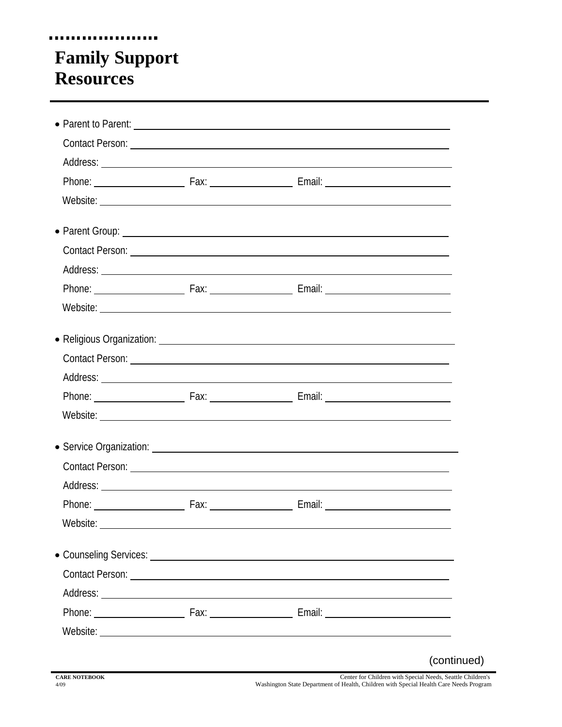### .................... **Family Support Resources**

|          | • Parent to Parent: <u>example and the set of the set of the set of the set of the set of the set of the set of the set of the set of the set of the set of the set of the set of the set of the set of the set of the set of th</u> |             |
|----------|--------------------------------------------------------------------------------------------------------------------------------------------------------------------------------------------------------------------------------------|-------------|
|          |                                                                                                                                                                                                                                      |             |
|          |                                                                                                                                                                                                                                      |             |
|          |                                                                                                                                                                                                                                      |             |
|          |                                                                                                                                                                                                                                      |             |
|          |                                                                                                                                                                                                                                      |             |
|          |                                                                                                                                                                                                                                      |             |
|          |                                                                                                                                                                                                                                      |             |
|          |                                                                                                                                                                                                                                      |             |
|          |                                                                                                                                                                                                                                      |             |
|          | • Religious Organization: Letter and the contract of the contract of the contract of the contract of the contract of the contract of the contract of the contract of the contract of the contract of the contract of the contr       |             |
|          |                                                                                                                                                                                                                                      |             |
|          |                                                                                                                                                                                                                                      |             |
|          |                                                                                                                                                                                                                                      |             |
|          |                                                                                                                                                                                                                                      |             |
|          |                                                                                                                                                                                                                                      |             |
|          | Contact Person: Lawrence and Contact Person: Lawrence and Contact Person:                                                                                                                                                            |             |
|          |                                                                                                                                                                                                                                      |             |
|          |                                                                                                                                                                                                                                      |             |
| Website: |                                                                                                                                                                                                                                      |             |
|          | • Counseling Services: Law Counseling Services: Law Counseling Services: Law Counseling Services:                                                                                                                                    |             |
|          |                                                                                                                                                                                                                                      |             |
|          |                                                                                                                                                                                                                                      |             |
|          |                                                                                                                                                                                                                                      |             |
|          |                                                                                                                                                                                                                                      |             |
|          |                                                                                                                                                                                                                                      | (continued) |
|          | Center to Children with Cancel Mode Co.                                                                                                                                                                                              |             |

F

**CARE NOTEBOOK CARE OF Children** with Special Needs, Seattle Children's 4/09 Washington State Department of Health, Children with Special Health Care Needs Program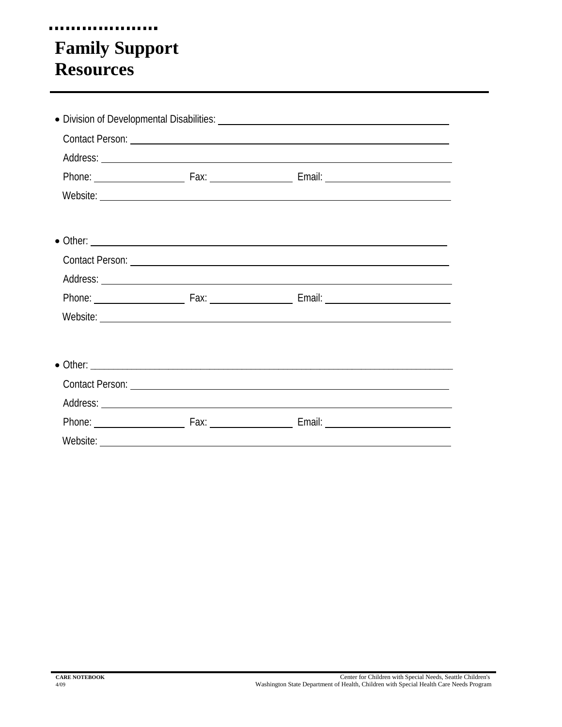## **Family Support Resources**

....................

|  | $\bullet$ Other: |  |
|--|------------------|--|
|  |                  |  |
|  |                  |  |
|  |                  |  |
|  |                  |  |
|  |                  |  |
|  |                  |  |
|  |                  |  |
|  |                  |  |
|  |                  |  |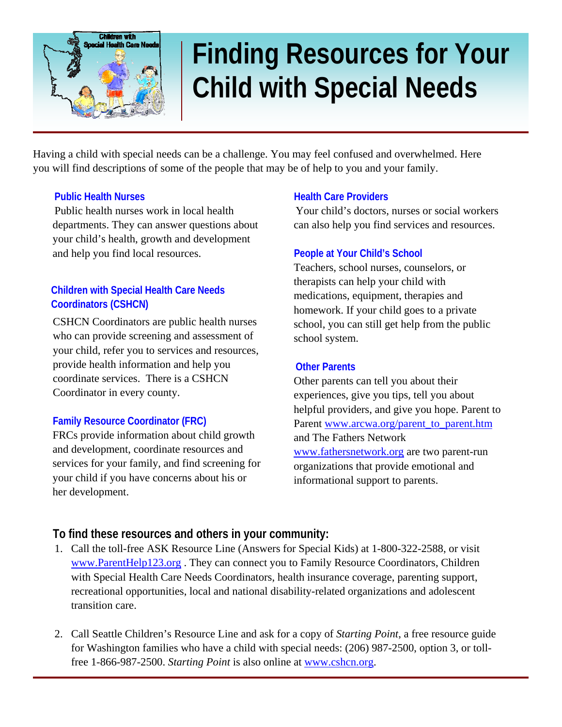

# **Finding Resources for Your Child with Special Needs**

Having a child with special needs can be a challenge. You may feel confused and overwhelmed. Here you will find descriptions of some of the people that may be of help to you and your family.

#### **Public Health Nurses**

Public health nurses work in local health departments. They can answer questions about your child's health, growth and development and help you find local resources.

#### **Children with Special Health Care Needs Coordinators (CSHCN)**

CSHCN Coordinators are public health nurses who can provide screening and assessment of your child, refer you to services and resources, provide health information and help you coordinate services. There is a CSHCN Coordinator in every county.

#### **Family Resource Coordinator (FRC)**

FRCs provide information about child growth and development, coordinate resources and services for your family, and find screening for your child if you have concerns about his or her development.

#### **Health Care Providers**

Your child's doctors, nurses or social workers can also help you find services and resources.

#### **People at Your Child's School**

Teachers, school nurses, counselors, or therapists can help your child with medications, equipment, therapies and homework. If your child goes to a private school, you can still get help from the public school system.

#### **Other Parents**

Other parents can tell you about their experiences, give you tips, tell you about helpful providers, and give you hope. Parent to Parent [www.arcwa.org/parent\\_to\\_parent.htm](http://www.arcwa.org/parent_to_parent.htm) and The Fathers Network [www.fathersnetwork.org](http://www.fathersnetwork.org/) are two parent-run organizations that provide emotional and informational support to parents.

#### **To find these resources and others in your community:**

- 1. Call the toll-free ASK Resource Line (Answers for Special Kids) at 1-800-322-2588, or visit [www.ParentHelp123.org](http://www.parenthelp123.org/) . They can connect you to Family Resource Coordinators, Children with Special Health Care Needs Coordinators, health insurance coverage, parenting support, recreational opportunities, local and national disability-related organizations and adolescent transition care.
- 2. Call Seattle Children's Resource Line and ask for a copy of *Starting Point*, a free resource guide for Washington families who have a child with special needs: (206) 987-2500, option 3, or tollfree 1-866-987-2500. *Starting Point* is also online at [www.cshcn.org](http://www.cshcn.org/).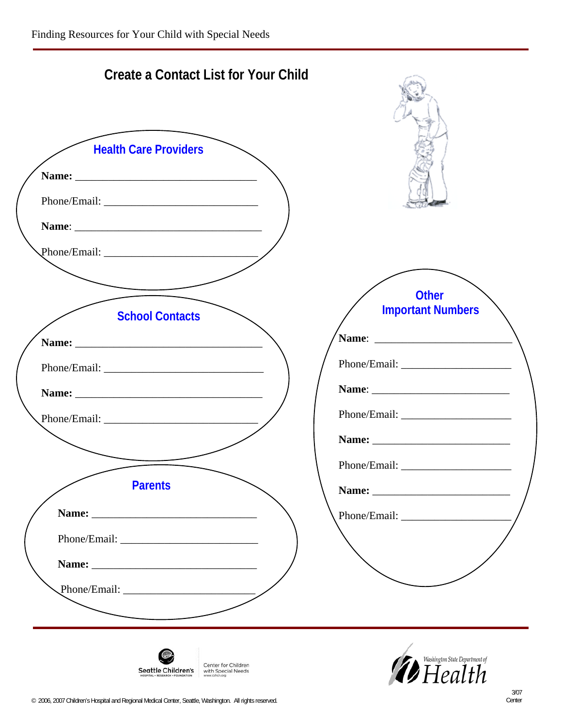| <b>Create a Contact List for Your Child</b>                                      |                                                         |
|----------------------------------------------------------------------------------|---------------------------------------------------------|
| <b>Health Care Providers</b>                                                     |                                                         |
| <b>School Contacts</b><br><b>Parents</b>                                         | <b>Other</b><br><b>Important Numbers</b><br>Name: Name: |
| Center for Children<br>Seattle Children's<br>with Special Needs<br>www.cshcn.org | <i><b>D</b></i> Health Department of                    |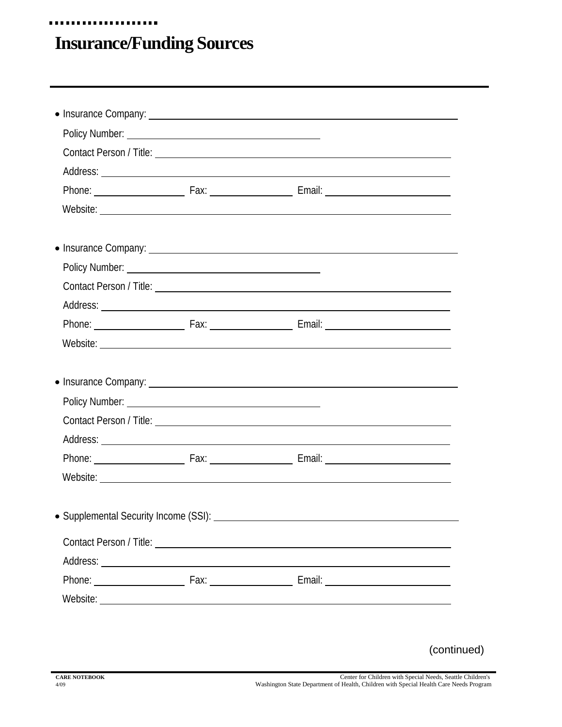## **Insurance/Funding Sources**

....................

|  | Contact Person / Title: <u>Contact Person / Title:</u>                                                                                                                                                                         |  |
|--|--------------------------------------------------------------------------------------------------------------------------------------------------------------------------------------------------------------------------------|--|
|  |                                                                                                                                                                                                                                |  |
|  |                                                                                                                                                                                                                                |  |
|  |                                                                                                                                                                                                                                |  |
|  | • Insurance Company: Laterature and the company of the company of the company of the company of the company of the company of the company of the company of the company of the company of the company of the company of the co |  |
|  |                                                                                                                                                                                                                                |  |
|  | Contact Person / Title: 2008 Contact Person / Title:                                                                                                                                                                           |  |
|  |                                                                                                                                                                                                                                |  |
|  |                                                                                                                                                                                                                                |  |
|  |                                                                                                                                                                                                                                |  |
|  |                                                                                                                                                                                                                                |  |
|  |                                                                                                                                                                                                                                |  |
|  |                                                                                                                                                                                                                                |  |
|  |                                                                                                                                                                                                                                |  |
|  |                                                                                                                                                                                                                                |  |

(continued)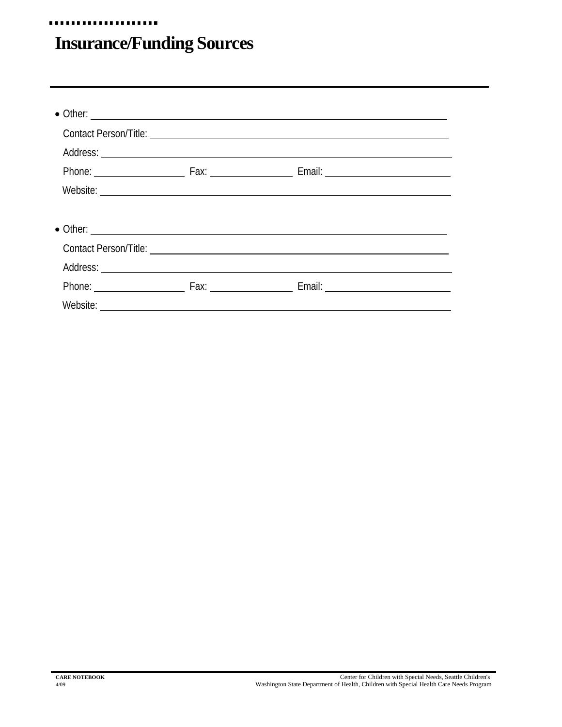## **Insurance/Funding Sources**

....................

| $\bullet$ Other: |  |  |
|------------------|--|--|
|                  |  |  |
|                  |  |  |
|                  |  |  |
|                  |  |  |
|                  |  |  |
|                  |  |  |
|                  |  |  |
|                  |  |  |
|                  |  |  |
|                  |  |  |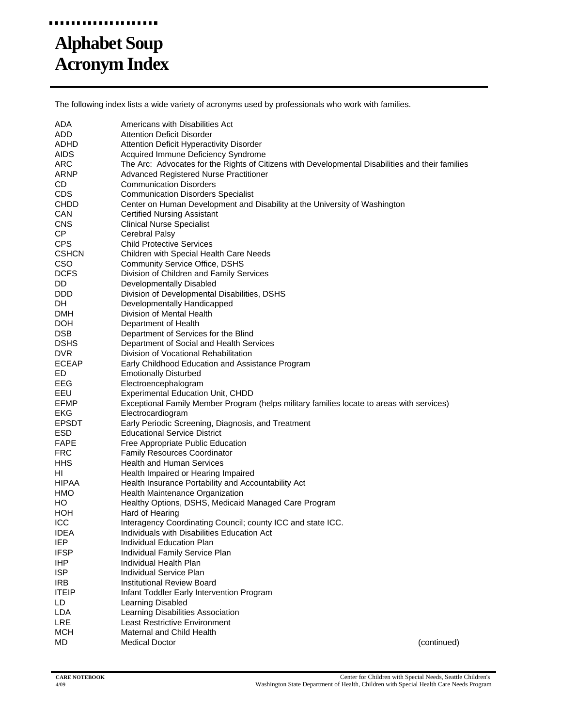#### **FRE** u u u u

## **Alphabet Soup Acronym Index**

The following index lists a wide variety of acronyms used by professionals who work with families.

| ADA                      | Americans with Disabilities Act                                                                  |
|--------------------------|--------------------------------------------------------------------------------------------------|
| ADD                      | <b>Attention Deficit Disorder</b>                                                                |
| ADHD                     | Attention Deficit Hyperactivity Disorder                                                         |
| <b>AIDS</b>              | Acquired Immune Deficiency Syndrome                                                              |
| ARC                      | The Arc: Advocates for the Rights of Citizens with Developmental Disabilities and their families |
| ARNP                     | Advanced Registered Nurse Practitioner                                                           |
| CD.                      | <b>Communication Disorders</b>                                                                   |
| <b>CDS</b>               | <b>Communication Disorders Specialist</b>                                                        |
| CHDD                     | Center on Human Development and Disability at the University of Washington                       |
| CAN                      | Certified Nursing Assistant                                                                      |
| <b>CNS</b>               | <b>Clinical Nurse Specialist</b>                                                                 |
| CP                       | Cerebral Palsy                                                                                   |
| <b>CPS</b>               | <b>Child Protective Services</b>                                                                 |
| <b>CSHCN</b>             | Children with Special Health Care Needs                                                          |
| <b>CSO</b>               | <b>Community Service Office, DSHS</b>                                                            |
| <b>DCFS</b>              | Division of Children and Family Services                                                         |
| DD.                      | Developmentally Disabled                                                                         |
| DDD.                     | Division of Developmental Disabilities, DSHS                                                     |
| DH                       | Developmentally Handicapped                                                                      |
| DMH                      | Division of Mental Health                                                                        |
| <b>DOH</b>               | Department of Health                                                                             |
| <b>DSB</b>               | Department of Services for the Blind                                                             |
| <b>DSHS</b>              | Department of Social and Health Services                                                         |
| <b>DVR</b>               | Division of Vocational Rehabilitation                                                            |
| <b>ECEAP</b>             | Early Childhood Education and Assistance Program                                                 |
| ED                       | <b>Emotionally Disturbed</b>                                                                     |
| EEG                      | Electroencephalogram                                                                             |
| EEU                      | <b>Experimental Education Unit, CHDD</b>                                                         |
| <b>EFMP</b>              | Exceptional Family Member Program (helps military families locate to areas with services)        |
| EKG                      | Electrocardiogram                                                                                |
| <b>EPSDT</b>             | Early Periodic Screening, Diagnosis, and Treatment                                               |
| ESD                      | <b>Educational Service District</b>                                                              |
| <b>FAPE</b>              | Free Appropriate Public Education                                                                |
| <b>FRC</b>               | <b>Family Resources Coordinator</b>                                                              |
| <b>HHS</b>               | <b>Health and Human Services</b>                                                                 |
| HI.                      | Health Impaired or Hearing Impaired                                                              |
| <b>HIPAA</b>             | Health Insurance Portability and Accountability Act                                              |
| <b>HMO</b>               | Health Maintenance Organization                                                                  |
| HO                       | Healthy Options, DSHS, Medicaid Managed Care Program                                             |
| HOH                      | Hard of Hearing                                                                                  |
| <b>ICC</b>               | Interagency Coordinating Council; county ICC and state ICC.                                      |
|                          |                                                                                                  |
| <b>IDEA</b><br>IEP       | Individuals with Disabilities Education Act<br><b>Individual Education Plan</b>                  |
| <b>IFSP</b>              |                                                                                                  |
|                          | Individual Family Service Plan<br>Individual Health Plan                                         |
| <b>IHP</b><br><b>ISP</b> | Individual Service Plan                                                                          |
|                          | Institutional Review Board                                                                       |
| <b>IRB</b>               |                                                                                                  |
| <b>ITEIP</b>             | Infant Toddler Early Intervention Program                                                        |
| LD                       | Learning Disabled                                                                                |
| <b>LDA</b><br><b>LRE</b> | Learning Disabilities Association<br><b>Least Restrictive Environment</b>                        |
| <b>MCH</b>               | Maternal and Child Health                                                                        |
|                          | <b>Medical Doctor</b>                                                                            |
| MD                       | (continued)                                                                                      |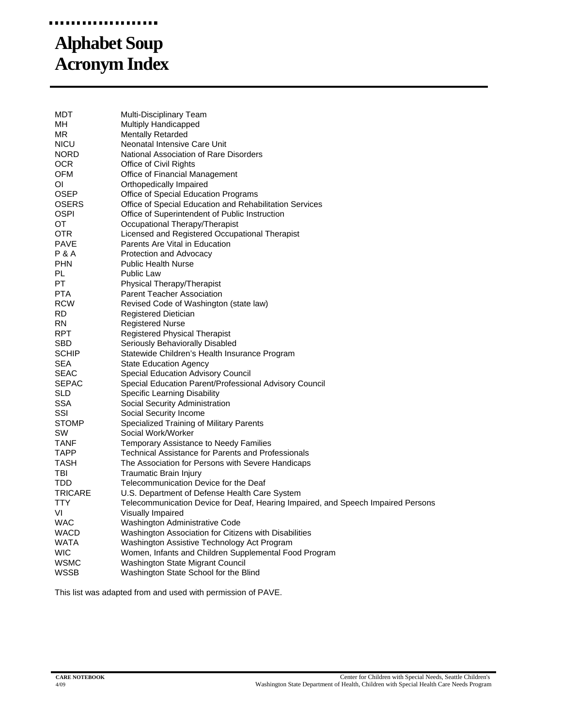## **Alphabet Soup Acronym Index**

| MDT              | Multi-Disciplinary Team                                                          |
|------------------|----------------------------------------------------------------------------------|
| MН               | <b>Multiply Handicapped</b>                                                      |
| ΜR               | <b>Mentally Retarded</b>                                                         |
| <b>NICU</b>      | Neonatal Intensive Care Unit                                                     |
| NORD.            | National Association of Rare Disorders                                           |
| OCR              | Office of Civil Rights                                                           |
| <b>OFM</b>       | Office of Financial Management                                                   |
| ΟI               | Orthopedically Impaired                                                          |
| <b>OSEP</b>      | Office of Special Education Programs                                             |
| OSERS            | Office of Special Education and Rehabilitation Services                          |
| OSPI             | Office of Superintendent of Public Instruction                                   |
| OT               | Occupational Therapy/Therapist                                                   |
| OTR              | Licensed and Registered Occupational Therapist                                   |
| PAVE             | Parents Are Vital in Education                                                   |
| <b>P &amp; A</b> | Protection and Advocacy                                                          |
| <b>PHN</b>       | <b>Public Health Nurse</b>                                                       |
| PL               | <b>Public Law</b>                                                                |
| <b>PT</b>        | Physical Therapy/Therapist                                                       |
| PTA              | <b>Parent Teacher Association</b>                                                |
| <b>RCW</b>       | Revised Code of Washington (state law)                                           |
| RD               | <b>Registered Dietician</b>                                                      |
| RN               | <b>Registered Nurse</b>                                                          |
| <b>RPT</b>       | <b>Registered Physical Therapist</b>                                             |
| SBD              | Seriously Behaviorally Disabled                                                  |
| <b>SCHIP</b>     | Statewide Children's Health Insurance Program                                    |
| <b>SEA</b>       | <b>State Education Agency</b>                                                    |
| <b>SEAC</b>      | Special Education Advisory Council                                               |
| <b>SEPAC</b>     | Special Education Parent/Professional Advisory Council                           |
| SLD              | Specific Learning Disability                                                     |
| SSA              | Social Security Administration                                                   |
| SSI              | Social Security Income                                                           |
| STOMP            | Specialized Training of Military Parents                                         |
| SW               | Social Work/Worker                                                               |
| TANF             | Temporary Assistance to Needy Families                                           |
| TAPP             | <b>Technical Assistance for Parents and Professionals</b>                        |
| TASH             | The Association for Persons with Severe Handicaps                                |
| TBI              | Traumatic Brain Injury                                                           |
| TDD              | Telecommunication Device for the Deaf                                            |
| TRICARE          | U.S. Department of Defense Health Care System                                    |
| TTY              | Telecommunication Device for Deaf, Hearing Impaired, and Speech Impaired Persons |
| VI               | Visually Impaired                                                                |
| WAC              | Washington Administrative Code                                                   |
| WACD             | Washington Association for Citizens with Disabilities                            |
| <b>WATA</b>      | Washington Assistive Technology Act Program                                      |
| <b>WIC</b>       | Women, Infants and Children Supplemental Food Program                            |
| WSMC             | Washington State Migrant Council                                                 |
| WSSB             | Washington State School for the Blind                                            |
|                  |                                                                                  |

This list was adapted from and used with permission of PAVE.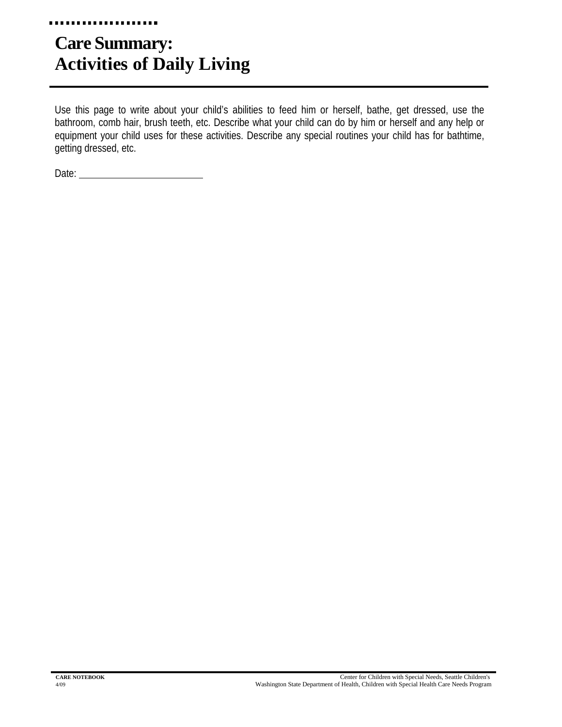#### . . . . . . . . . . . .

## **Care Summary: Activities of Daily Living**

Use this page to write about your child's abilities to feed him or herself, bathe, get dressed, use the bathroom, comb hair, brush teeth, etc. Describe what your child can do by him or herself and any help or equipment your child uses for these activities. Describe any special routines your child has for bathtime, getting dressed, etc.

Date: **Date: Date: Date: Date: Date: Date: Date: Date: Date: Date: Date: Date: Date: Date: Date: Date: Date: Date: Date: Date: Date: Date: Date: Date: Date: Date: Date:**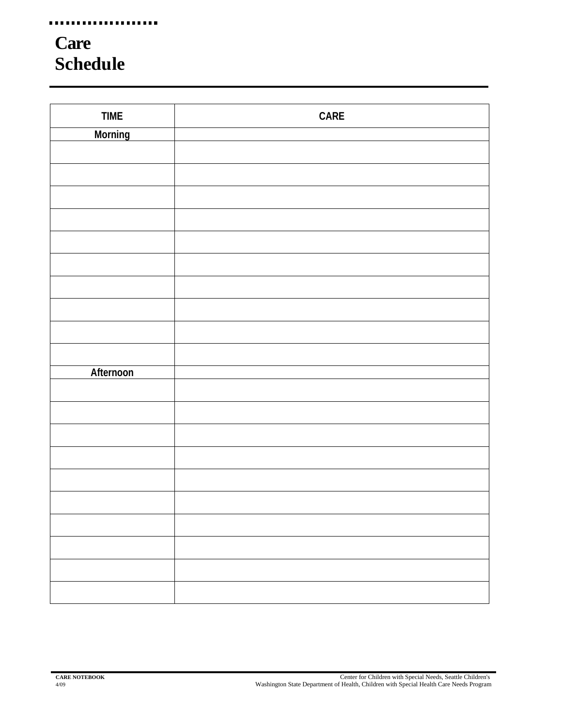## **Care Schedule**

| <b>TIME</b> | CARE |
|-------------|------|
| Morning     |      |
|             |      |
|             |      |
|             |      |
|             |      |
|             |      |
|             |      |
|             |      |
|             |      |
|             |      |
|             |      |
|             |      |
|             |      |
| Afternoon   |      |
|             |      |
|             |      |
|             |      |
|             |      |
|             |      |
|             |      |
|             |      |
|             |      |
|             |      |
|             |      |
|             |      |
|             |      |
|             |      |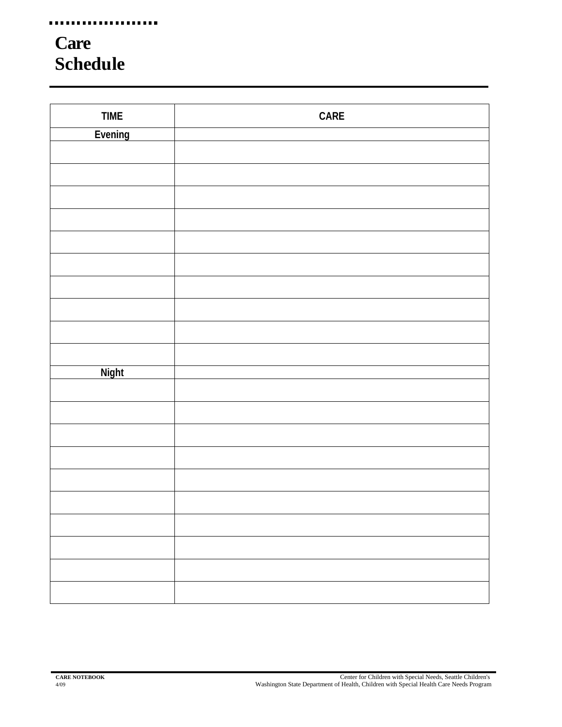## **Care Schedule**

| <b>TIME</b>  | $\ensuremath{\mathsf{CARE}}$ |
|--------------|------------------------------|
| Evening      |                              |
|              |                              |
|              |                              |
|              |                              |
|              |                              |
|              |                              |
|              |                              |
|              |                              |
|              |                              |
|              |                              |
|              |                              |
|              |                              |
| <b>Night</b> |                              |
|              |                              |
|              |                              |
|              |                              |
|              |                              |
|              |                              |
|              |                              |
|              |                              |
|              |                              |
|              |                              |
|              |                              |
|              |                              |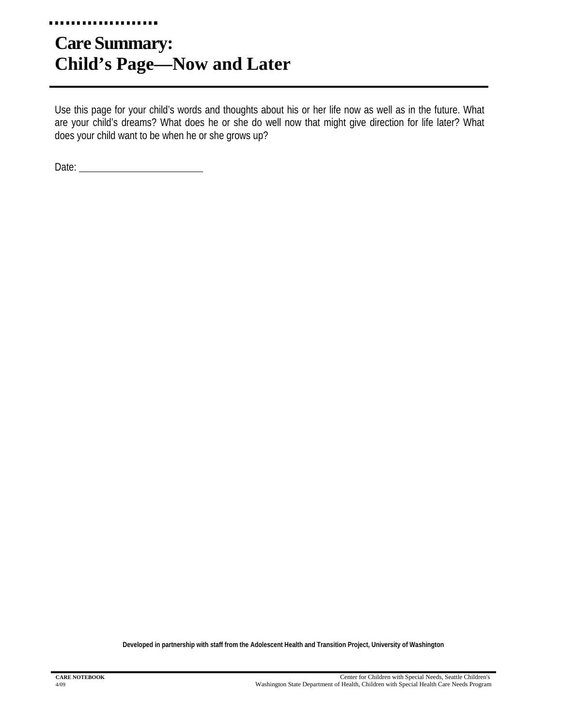## **Care Summary: Child's Page—Now and Later**

Use this page for your child's words and thoughts about his or her life now as well as in the future. What are your child's dreams? What does he or she do well now that might give direction for life later? What does your child want to be when he or she grows up?

Date: **Date: Date: Date: Date: Date: Date: Date: Date: Date: Date: Date: Date: Date: Date: Date: Date: Date: Date: Date: Date: Date: Date: Date: Date: Date: Date: Date:**

**Developed in partnership with staff from the Adolescent Health and Transition Project, University of Washington**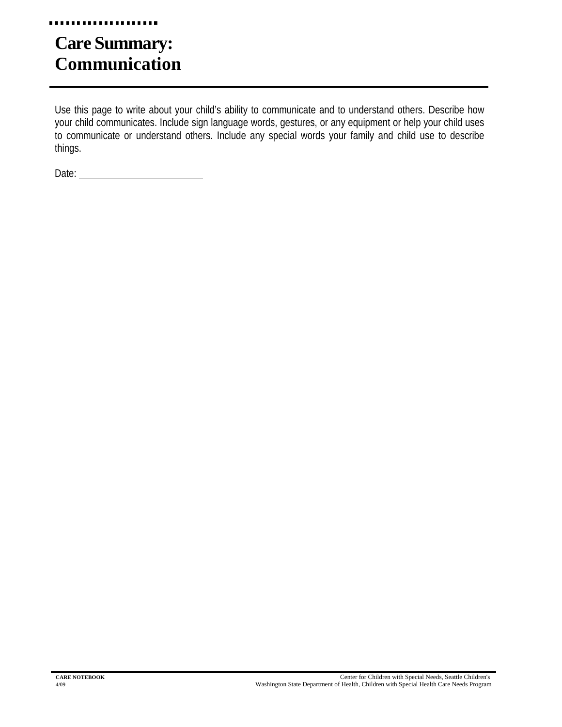#### . . . . . . . . . . .

## **Care Summary: Communication**

Use this page to write about your child's ability to communicate and to understand others. Describe how your child communicates. Include sign language words, gestures, or any equipment or help your child uses to communicate or understand others. Include any special words your family and child use to describe things.

Date: **Date: Date: Date: Date: Date: Date: Date: Date: Date: Date: Date: Date: Date: Date: Date: Date: Date: Date: Date: Date: Date: Date: Date: Date: Date: Date: Date:**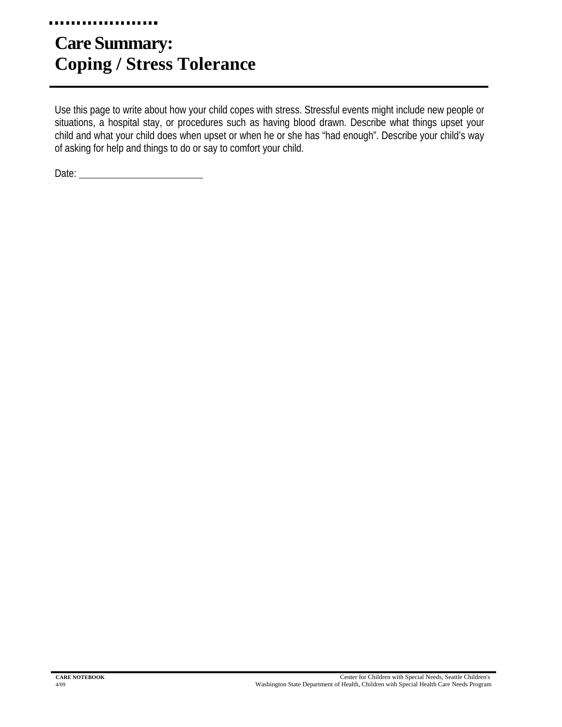## **Care Summary: Coping / Stress Tolerance**

Use this page to write about how your child copes with stress. Stressful events might include new people or situations, a hospital stay, or procedures such as having blood drawn. Describe what things upset your child and what your child does when upset or when he or she has "had enough". Describe your child's way of asking for help and things to do or say to comfort your child.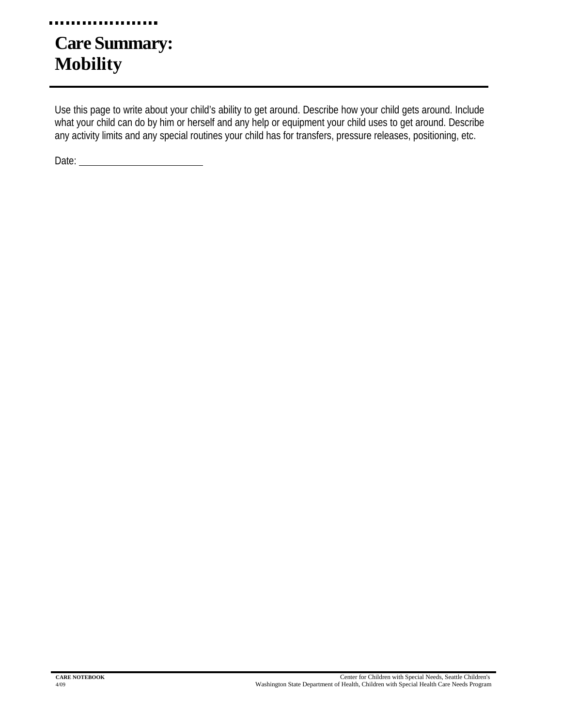## **Care Summary: Mobility**

. . . . . . . . . .

Use this page to write about your child's ability to get around. Describe how your child gets around. Include what your child can do by him or herself and any help or equipment your child uses to get around. Describe any activity limits and any special routines your child has for transfers, pressure releases, positioning, etc.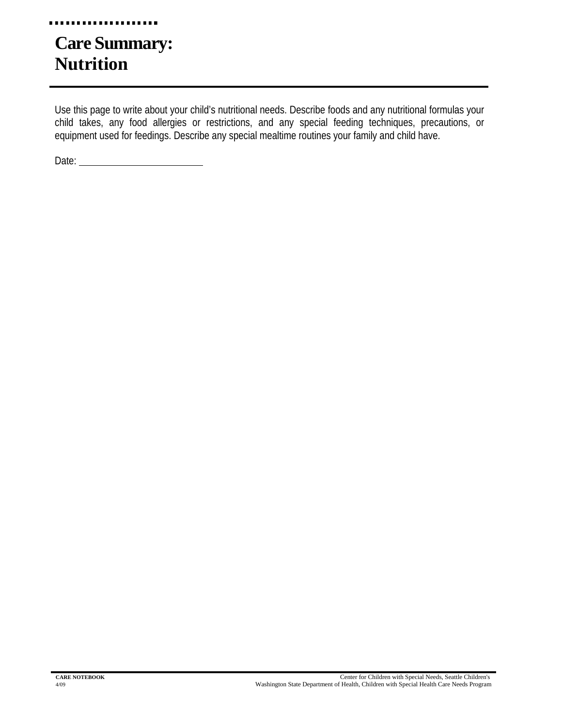#### . . . . . . . . . . . .

## **Care Summary: Nutrition**

Use this page to write about your child's nutritional needs. Describe foods and any nutritional formulas your child takes, any food allergies or restrictions, and any special feeding techniques, precautions, or equipment used for feedings. Describe any special mealtime routines your family and child have.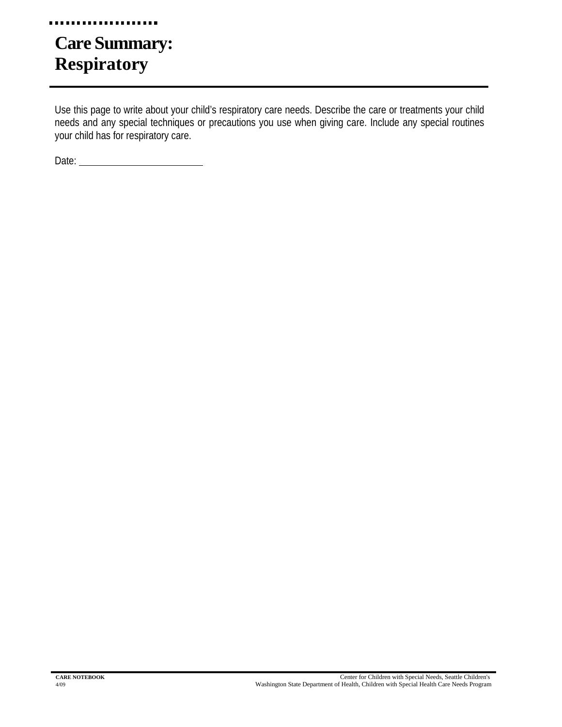#### . . . . . . . . . . .

## **Care Summary: Respiratory**

Use this page to write about your child's respiratory care needs. Describe the care or treatments your child needs and any special techniques or precautions you use when giving care. Include any special routines your child has for respiratory care.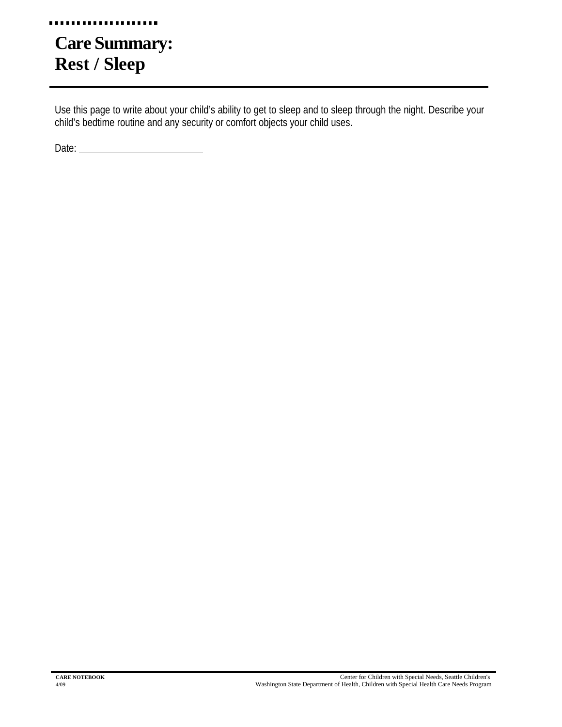#### . . . . . . . . . .

## **Care Summary: Rest / Sleep**

Use this page to write about your child's ability to get to sleep and to sleep through the night. Describe your child's bedtime routine and any security or comfort objects your child uses.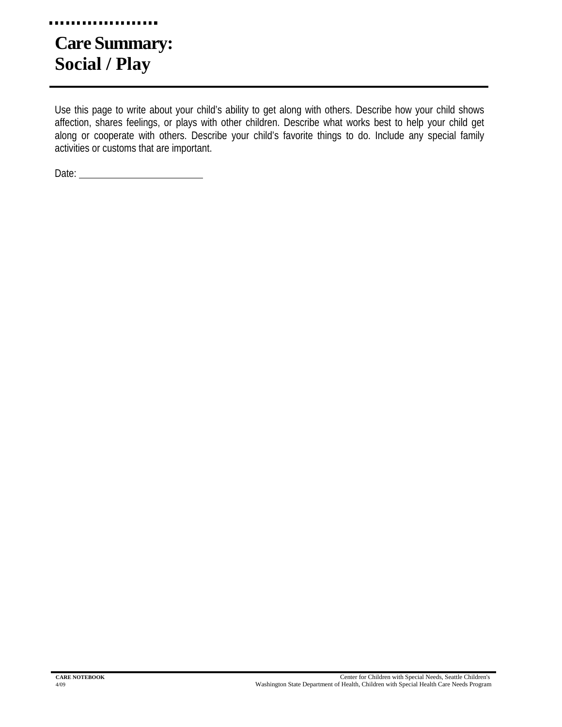## **Care Summary: Social / Play**

. . . . . . . . . . .

Use this page to write about your child's ability to get along with others. Describe how your child shows affection, shares feelings, or plays with other children. Describe what works best to help your child get along or cooperate with others. Describe your child's favorite things to do. Include any special family activities or customs that are important.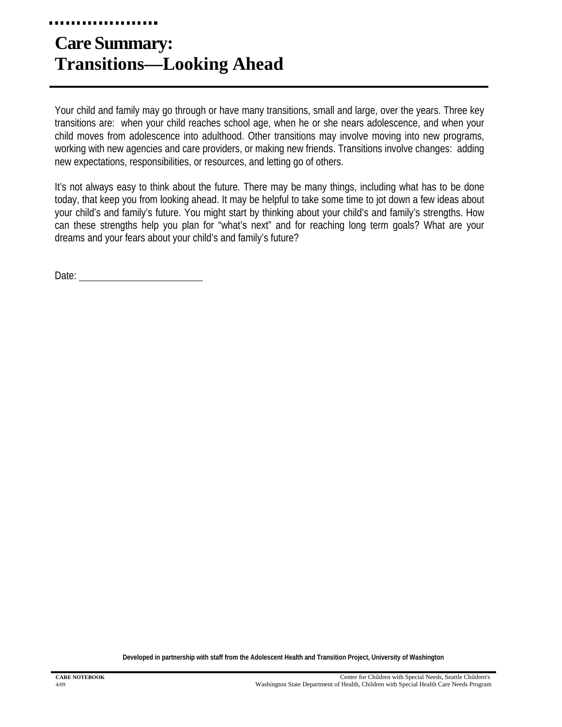## **Care Summary: Transitions—Looking Ahead**

Your child and family may go through or have many transitions, small and large, over the years. Three key transitions are: when your child reaches school age, when he or she nears adolescence, and when your child moves from adolescence into adulthood. Other transitions may involve moving into new programs, working with new agencies and care providers, or making new friends. Transitions involve changes: adding new expectations, responsibilities, or resources, and letting go of others.

It's not always easy to think about the future. There may be many things, including what has to be done today, that keep you from looking ahead. It may be helpful to take some time to jot down a few ideas about your child's and family's future. You might start by thinking about your child's and family's strengths. How can these strengths help you plan for "what's next" and for reaching long term goals? What are your dreams and your fears about your child's and family's future?

Date: and the contract of the contract of the contract of the contract of the contract of the contract of the contract of the contract of the contract of the contract of the contract of the contract of the contract of the

**Developed in partnership with staff from the Adolescent Health and Transition Project, University of Washington**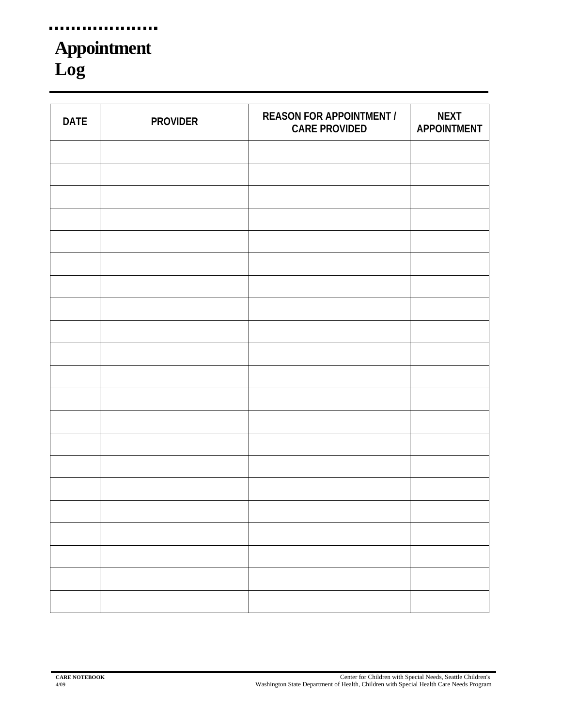## **Appointment Log**

...................

| <b>DATE</b> | <b>PROVIDER</b> | <b>REASON FOR APPOINTMENT /</b><br><b>CARE PROVIDED</b> | <b>NEXT</b><br><b>APPOINTMENT</b> |
|-------------|-----------------|---------------------------------------------------------|-----------------------------------|
|             |                 |                                                         |                                   |
|             |                 |                                                         |                                   |
|             |                 |                                                         |                                   |
|             |                 |                                                         |                                   |
|             |                 |                                                         |                                   |
|             |                 |                                                         |                                   |
|             |                 |                                                         |                                   |
|             |                 |                                                         |                                   |
|             |                 |                                                         |                                   |
|             |                 |                                                         |                                   |
|             |                 |                                                         |                                   |
|             |                 |                                                         |                                   |
|             |                 |                                                         |                                   |
|             |                 |                                                         |                                   |
|             |                 |                                                         |                                   |
|             |                 |                                                         |                                   |
|             |                 |                                                         |                                   |
|             |                 |                                                         |                                   |
|             |                 |                                                         |                                   |
|             |                 |                                                         |                                   |
|             |                 |                                                         |                                   |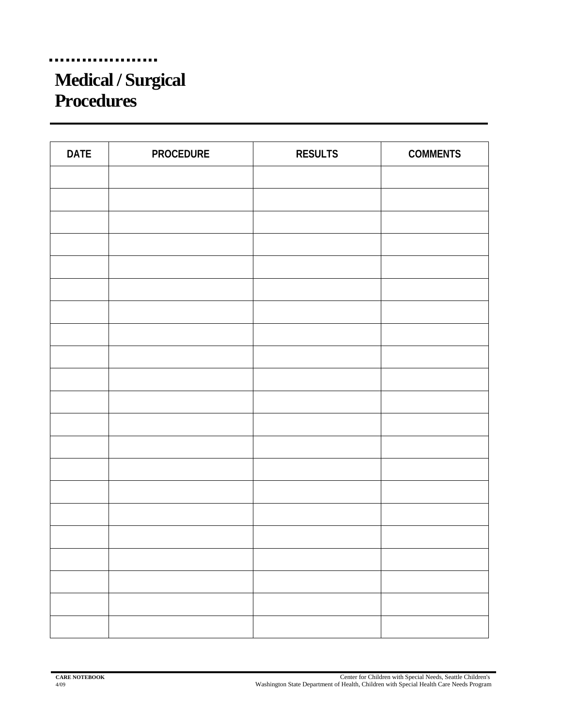## **Medical / Surgical Procedures**

| <b>DATE</b> | <b>PROCEDURE</b> | <b>RESULTS</b> | <b>COMMENTS</b> |
|-------------|------------------|----------------|-----------------|
|             |                  |                |                 |
|             |                  |                |                 |
|             |                  |                |                 |
|             |                  |                |                 |
|             |                  |                |                 |
|             |                  |                |                 |
|             |                  |                |                 |
|             |                  |                |                 |
|             |                  |                |                 |
|             |                  |                |                 |
|             |                  |                |                 |
|             |                  |                |                 |
|             |                  |                |                 |
|             |                  |                |                 |
|             |                  |                |                 |
|             |                  |                |                 |
|             |                  |                |                 |
|             |                  |                |                 |
|             |                  |                |                 |
|             |                  |                |                 |
|             |                  |                |                 |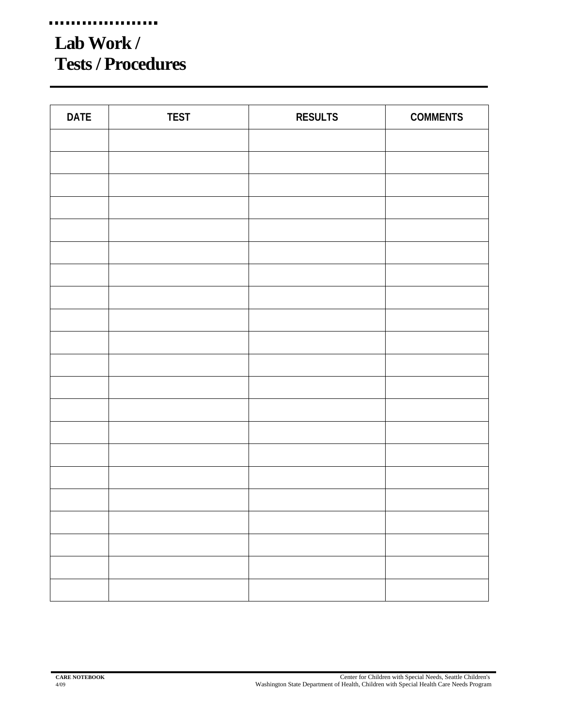## **Lab Work / Tests / Procedures**

| <b>DATE</b> | <b>TEST</b> | <b>RESULTS</b> | <b>COMMENTS</b> |
|-------------|-------------|----------------|-----------------|
|             |             |                |                 |
|             |             |                |                 |
|             |             |                |                 |
|             |             |                |                 |
|             |             |                |                 |
|             |             |                |                 |
|             |             |                |                 |
|             |             |                |                 |
|             |             |                |                 |
|             |             |                |                 |
|             |             |                |                 |
|             |             |                |                 |
|             |             |                |                 |
|             |             |                |                 |
|             |             |                |                 |
|             |             |                |                 |
|             |             |                |                 |
|             |             |                |                 |
|             |             |                |                 |
|             |             |                |                 |
|             |             |                |                 |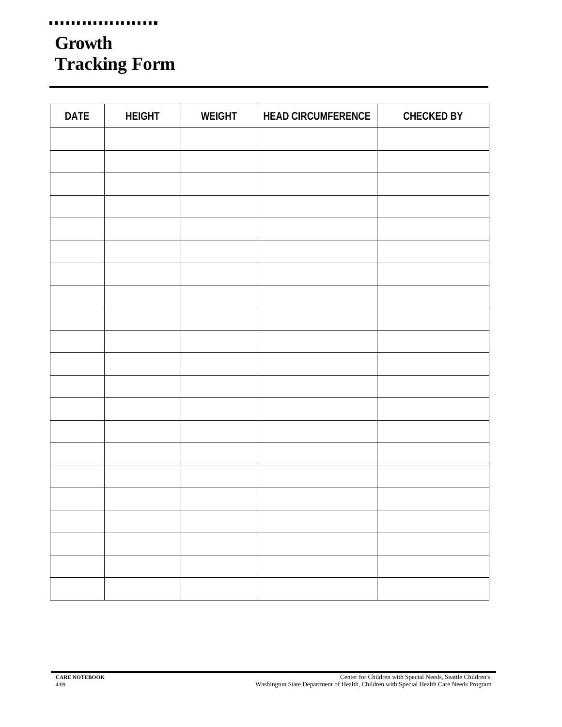## **Growth Tracking Form**

| <b>DATE</b> | <b>HEIGHT</b> | <b>WEIGHT</b> | <b>HEAD CIRCUMFERENCE</b> | <b>CHECKED BY</b> |
|-------------|---------------|---------------|---------------------------|-------------------|
|             |               |               |                           |                   |
|             |               |               |                           |                   |
|             |               |               |                           |                   |
|             |               |               |                           |                   |
|             |               |               |                           |                   |
|             |               |               |                           |                   |
|             |               |               |                           |                   |
|             |               |               |                           |                   |
|             |               |               |                           |                   |
|             |               |               |                           |                   |
|             |               |               |                           |                   |
|             |               |               |                           |                   |
|             |               |               |                           |                   |
|             |               |               |                           |                   |
|             |               |               |                           |                   |
|             |               |               |                           |                   |
|             |               |               |                           |                   |
|             |               |               |                           |                   |
|             |               |               |                           |                   |
|             |               |               |                           |                   |
|             |               |               |                           |                   |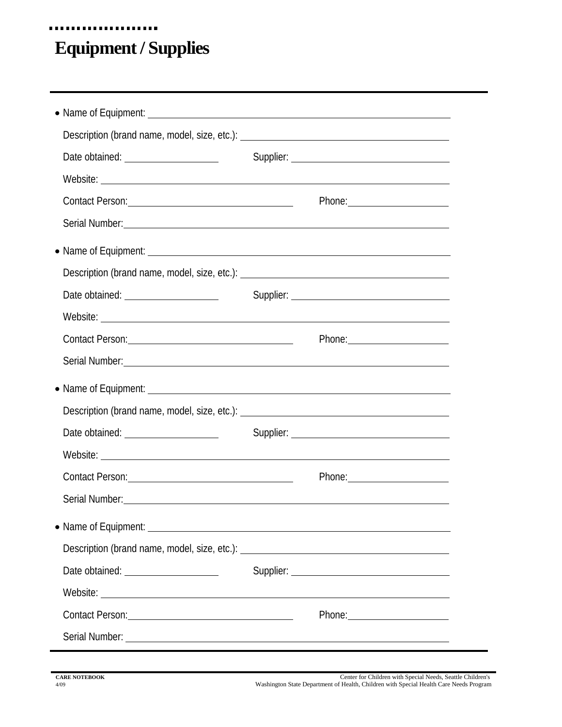## **Equipment / Supplies**

...................**.** 

|                                       | Description (brand name, model, size, etc.): ___________________________________                                                                                                                                                    |  |
|---------------------------------------|-------------------------------------------------------------------------------------------------------------------------------------------------------------------------------------------------------------------------------------|--|
|                                       |                                                                                                                                                                                                                                     |  |
|                                       |                                                                                                                                                                                                                                     |  |
| Contact Person: 2008 Contact Person:  |                                                                                                                                                                                                                                     |  |
|                                       | Serial Number: <u>Communications</u> Communications of the Communications of the Communications of the Communications of the Communications of the Communications of the Communications of the Communications of the Communications |  |
|                                       |                                                                                                                                                                                                                                     |  |
|                                       | Description (brand name, model, size, etc.): ___________________________________                                                                                                                                                    |  |
| Date obtained: ______________________ |                                                                                                                                                                                                                                     |  |
|                                       |                                                                                                                                                                                                                                     |  |
| Contact Person: 2000 Contact Person:  |                                                                                                                                                                                                                                     |  |
|                                       | Serial Number: <u>Communications</u> Communications and Communications Communications and Communications Communications                                                                                                             |  |
|                                       |                                                                                                                                                                                                                                     |  |
|                                       | Description (brand name, model, size, etc.): ___________________________________                                                                                                                                                    |  |
| Date obtained: <u>contained</u>       |                                                                                                                                                                                                                                     |  |
|                                       | Website: New York: New York: New York: New York: New York: New York: New York: New York: New York: New York: New York: New York: New York: New York: New York: New York: New York: New York: New York: New York: New York: New      |  |
|                                       |                                                                                                                                                                                                                                     |  |
|                                       | Serial Number: <u>Communication</u> Contract Contract Contract Contract Contract Contract Contract Contract Contract Contract Contract Contract Contract Contract Contract Contract Contract Contract Contract Contract Contract Co |  |
|                                       |                                                                                                                                                                                                                                     |  |
|                                       | Description (brand name, model, size, etc.): ___________________________________                                                                                                                                                    |  |
| Date obtained: ______________________ |                                                                                                                                                                                                                                     |  |
|                                       |                                                                                                                                                                                                                                     |  |
| Contact Person: 2000 Contact Person:  |                                                                                                                                                                                                                                     |  |
|                                       |                                                                                                                                                                                                                                     |  |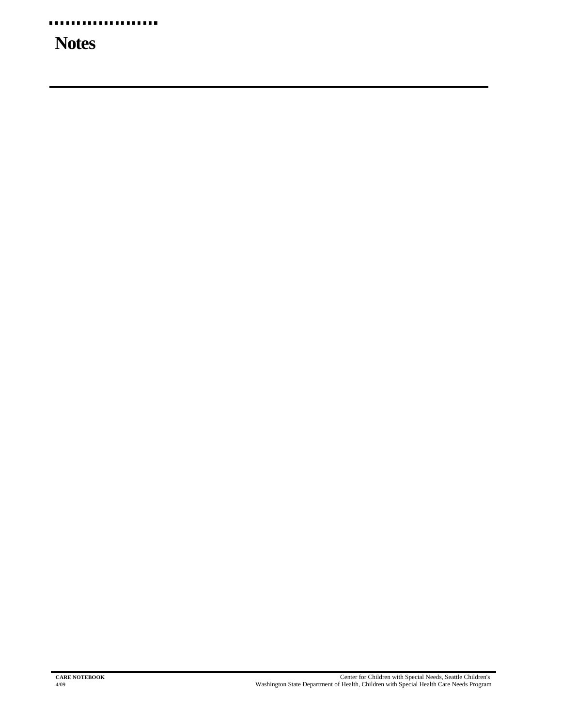## **Notes**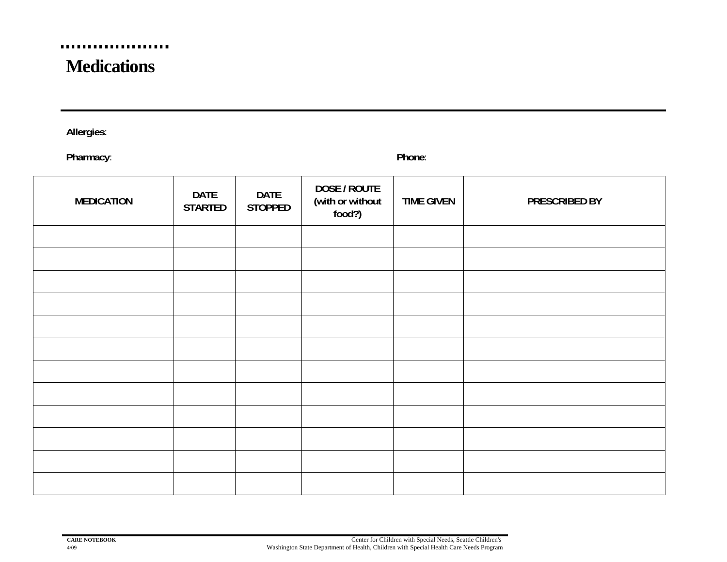#### a i .......

### **Medications**

**Allergies**:

**Pharmacy**: **Phone**:

| <b>MEDICATION</b> | <b>DATE</b><br><b>STARTED</b> | <b>DATE</b><br><b>STOPPED</b> | DOSE / ROUTE<br>(with or without<br>food?) | <b>TIME GIVEN</b> | PRESCRIBED BY |
|-------------------|-------------------------------|-------------------------------|--------------------------------------------|-------------------|---------------|
|                   |                               |                               |                                            |                   |               |
|                   |                               |                               |                                            |                   |               |
|                   |                               |                               |                                            |                   |               |
|                   |                               |                               |                                            |                   |               |
|                   |                               |                               |                                            |                   |               |
|                   |                               |                               |                                            |                   |               |
|                   |                               |                               |                                            |                   |               |
|                   |                               |                               |                                            |                   |               |
|                   |                               |                               |                                            |                   |               |
|                   |                               |                               |                                            |                   |               |
|                   |                               |                               |                                            |                   |               |
|                   |                               |                               |                                            |                   |               |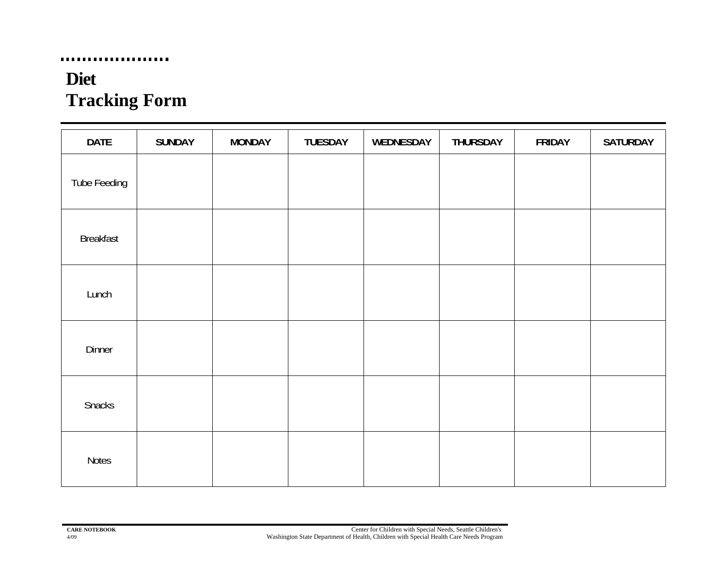## **Diet Tracking Form**

...................

| <b>DATE</b>      | <b>SUNDAY</b> | <b>MONDAY</b> | TUESDAY | WEDNESDAY | <b>THURSDAY</b> | <b>FRIDAY</b> | <b>SATURDAY</b> |
|------------------|---------------|---------------|---------|-----------|-----------------|---------------|-----------------|
| Tube Feeding     |               |               |         |           |                 |               |                 |
| <b>Breakfast</b> |               |               |         |           |                 |               |                 |
| Lunch            |               |               |         |           |                 |               |                 |
| Dinner           |               |               |         |           |                 |               |                 |
| Snacks           |               |               |         |           |                 |               |                 |
| <b>Notes</b>     |               |               |         |           |                 |               |                 |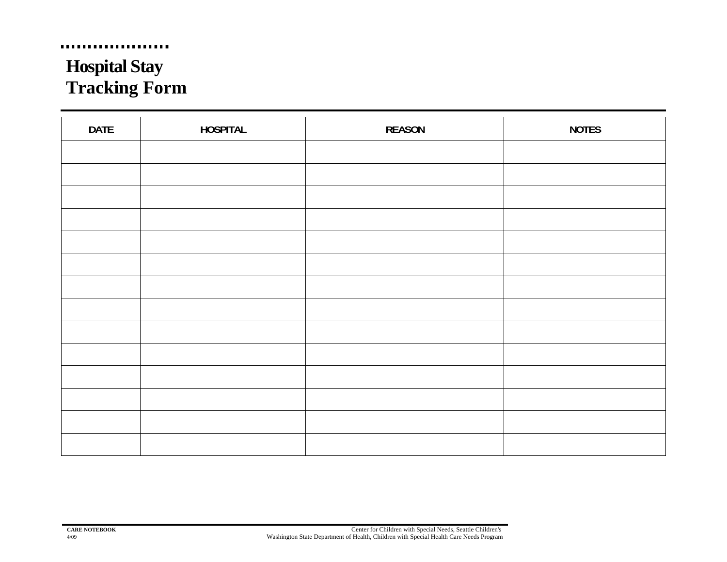## **Hospital Stay Tracking Form**

a a

| <b>DATE</b> | <b>HOSPITAL</b> | <b>REASON</b> | <b>NOTES</b> |
|-------------|-----------------|---------------|--------------|
|             |                 |               |              |
|             |                 |               |              |
|             |                 |               |              |
|             |                 |               |              |
|             |                 |               |              |
|             |                 |               |              |
|             |                 |               |              |
|             |                 |               |              |
|             |                 |               |              |
|             |                 |               |              |
|             |                 |               |              |
|             |                 |               |              |
|             |                 |               |              |
|             |                 |               |              |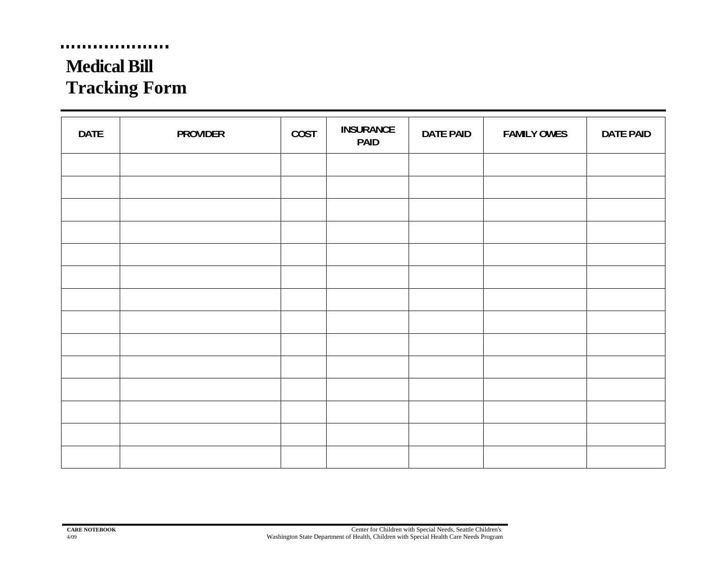## **Medical Bill Tracking Form**

. . . . . . . . . . .

 $\blacksquare$ 

| <b>DATE</b> | <b>PROVIDER</b> | COST | <b>INSURANCE</b><br><b>PAID</b> | <b>DATE PAID</b> | <b>FAMILY OWES</b> | <b>DATE PAID</b> |
|-------------|-----------------|------|---------------------------------|------------------|--------------------|------------------|
|             |                 |      |                                 |                  |                    |                  |
|             |                 |      |                                 |                  |                    |                  |
|             |                 |      |                                 |                  |                    |                  |
|             |                 |      |                                 |                  |                    |                  |
|             |                 |      |                                 |                  |                    |                  |
|             |                 |      |                                 |                  |                    |                  |
|             |                 |      |                                 |                  |                    |                  |
|             |                 |      |                                 |                  |                    |                  |
|             |                 |      |                                 |                  |                    |                  |
|             |                 |      |                                 |                  |                    |                  |
|             |                 |      |                                 |                  |                    |                  |
|             |                 |      |                                 |                  |                    |                  |
|             |                 |      |                                 |                  |                    |                  |
|             |                 |      |                                 |                  |                    |                  |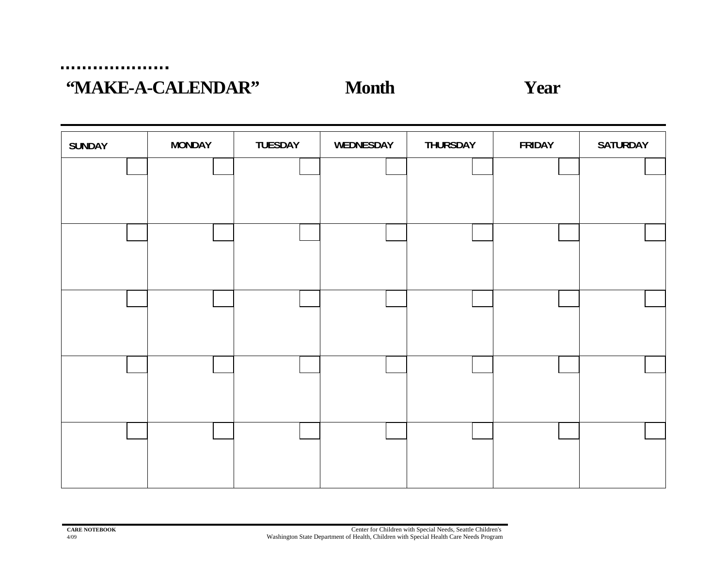....................

### **"MAKE-A-CALENDAR"** Month Year

| <b>SUNDAY</b> | <b>MONDAY</b> | <b>TUESDAY</b> | WEDNESDAY | THURSDAY | <b>FRIDAY</b> | <b>SATURDAY</b> |
|---------------|---------------|----------------|-----------|----------|---------------|-----------------|
|               |               |                |           |          |               |                 |
|               |               |                |           |          |               |                 |
|               |               |                |           |          |               |                 |
|               |               |                |           |          |               |                 |
|               |               |                |           |          |               |                 |
|               |               |                |           |          |               |                 |
|               |               |                |           |          |               |                 |
|               |               |                |           |          |               |                 |
|               |               |                |           |          |               |                 |
|               |               |                |           |          |               |                 |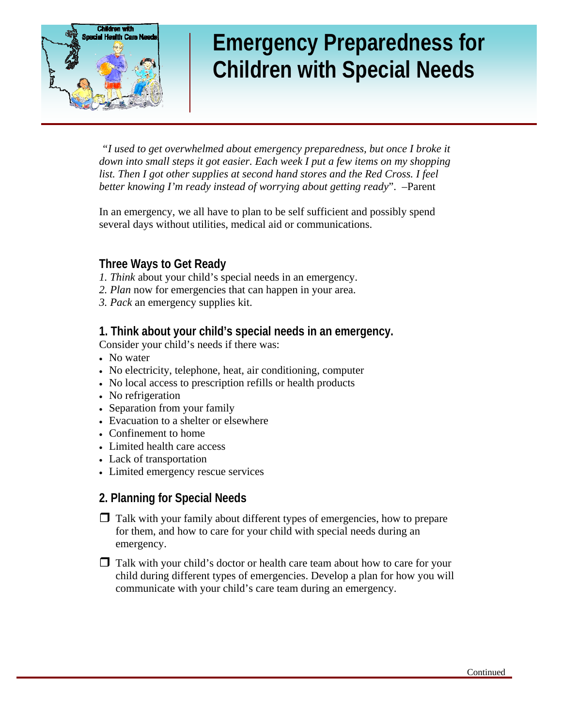

## **Emergency Preparedness for Children with Special Needs**

 *"I used to get overwhelmed about emergency preparedness, but once I broke it down into small steps it got easier. Each week I put a few items on my shopping*  list. Then I got other supplies at second hand stores and the Red Cross. I feel *better knowing I'm ready instead of worrying about getting ready*". –Parent

In an emergency, we all have to plan to be self sufficient and possibly spend several days without utilities, medical aid or communications.

#### **Three Ways to Get Ready**

- *1. Think* about your child's special needs in an emergency.
- *2. Plan* now for emergencies that can happen in your area.
- *3. Pack* an emergency supplies kit.

#### **1. Think about your child's special needs in an emergency.**

Consider your child's needs if there was:

- No water
- No electricity, telephone, heat, air conditioning, computer
- No local access to prescription refills or health products
- No refrigeration
- Separation from your family
- Evacuation to a shelter or elsewhere
- Confinement to home
- Limited health care access
- Lack of transportation
- Limited emergency rescue services

#### **2. Planning for Special Needs**

- $\Box$  Talk with your family about different types of emergencies, how to prepare for them, and how to care for your child with special needs during an emergency.
- $\Box$  Talk with your child's doctor or health care team about how to care for your child during different types of emergencies. Develop a plan for how you will communicate with your child's care team during an emergency.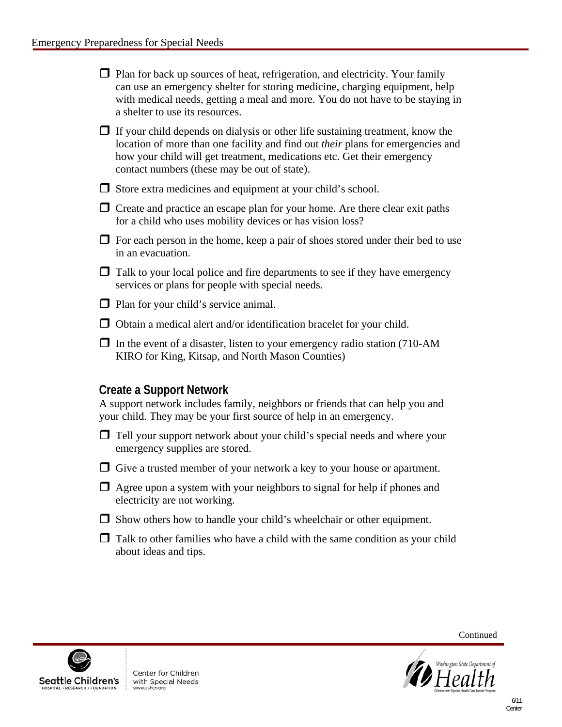- $\Box$  Plan for back up sources of heat, refrigeration, and electricity. Your family can use an emergency shelter for storing medicine, charging equipment, help with medical needs, getting a meal and more. You do not have to be staying in a shelter to use its resources.
- $\Box$  If your child depends on dialysis or other life sustaining treatment, know the location of more than one facility and find out *their* plans for emergencies and how your child will get treatment, medications etc. Get their emergency contact numbers (these may be out of state).
- $\Box$  Store extra medicines and equipment at your child's school.
- $\Box$  Create and practice an escape plan for your home. Are there clear exit paths for a child who uses mobility devices or has vision loss?
- $\Box$  For each person in the home, keep a pair of shoes stored under their bed to use in an evacuation.
- $\Box$  Talk to your local police and fire departments to see if they have emergency services or plans for people with special needs.
- $\Box$  Plan for your child's service animal.
- $\Box$  Obtain a medical alert and/or identification bracelet for your child.
- $\Box$  In the event of a disaster, listen to your emergency radio station (710-AM KIRO for King, Kitsap, and North Mason Counties)

#### **Create a Support Network**

A support network includes family, neighbors or friends that can help you and your child. They may be your first source of help in an emergency.

- $\Box$  Tell your support network about your child's special needs and where your emergency supplies are stored.
- $\Box$  Give a trusted member of your network a key to your house or apartment.
- $\Box$  Agree upon a system with your neighbors to signal for help if phones and electricity are not working.
- $\Box$  Show others how to handle your child's wheelchair or other equipment.
- $\Box$  Talk to other families who have a child with the same condition as your child about ideas and tips.



Center for Children with Special Needs



Continued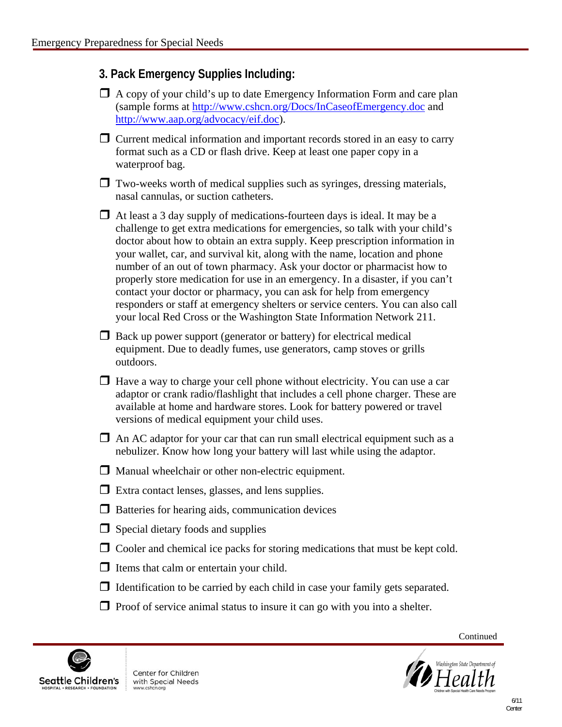#### **3. Pack Emergency Supplies Including:**

- $\Box$  A copy of your child's up to date Emergency Information Form and care plan (sample forms at <http://www.cshcn.org/Docs/InCaseofEmergency.doc> and <http://www.aap.org/advocacy/eif.doc>).
- $\Box$  Current medical information and important records stored in an easy to carry format such as a CD or flash drive. Keep at least one paper copy in a waterproof bag.
- $\Box$  Two-weeks worth of medical supplies such as syringes, dressing materials, nasal cannulas, or suction catheters.
- $\Box$  At least a 3 day supply of medications-fourteen days is ideal. It may be a challenge to get extra medications for emergencies, so talk with your child's doctor about how to obtain an extra supply. Keep prescription information in your wallet, car, and survival kit, along with the name, location and phone number of an out of town pharmacy. Ask your doctor or pharmacist how to properly store medication for use in an emergency. In a disaster, if you can't contact your doctor or pharmacy, you can ask for help from emergency responders or staff at emergency shelters or service centers. You can also call your local Red Cross or the Washington State Information Network 211.
- $\Box$  Back up power support (generator or battery) for electrical medical equipment. Due to deadly fumes, use generators, camp stoves or grills outdoors.
- $\Box$  Have a way to charge your cell phone without electricity. You can use a car adaptor or crank radio/flashlight that includes a cell phone charger. These are available at home and hardware stores. Look for battery powered or travel versions of medical equipment your child uses.
- $\Box$  An AC adaptor for your car that can run small electrical equipment such as a nebulizer. Know how long your battery will last while using the adaptor.
- $\Box$  Manual wheelchair or other non-electric equipment.
- $\Box$  Extra contact lenses, glasses, and lens supplies.
- $\Box$  Batteries for hearing aids, communication devices
- $\Box$  Special dietary foods and supplies
- $\Box$  Cooler and chemical ice packs for storing medications that must be kept cold.
- $\Box$  Items that calm or entertain your child.
- $\Box$  Identification to be carried by each child in case your family gets separated.
- $\Box$  Proof of service animal status to insure it can go with you into a shelter.



Center for Children with Special Needs



Continued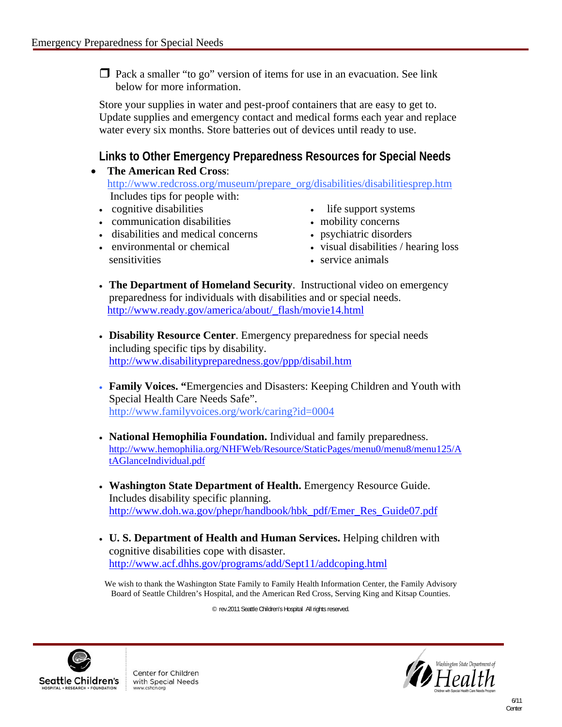$\Box$  Pack a smaller "to go" version of items for use in an evacuation. See link below for more information.

Store your supplies in water and pest-proof containers that are easy to get to. Update supplies and emergency contact and medical forms each year and replace water every six months. Store batteries out of devices until ready to use.

#### **Links to Other Emergency Preparedness Resources for Special Needs**

- **The American Red Cross**: http://www.redcross.org/museum/prepare\_org/disabilities/disabilitiesprep.htm Includes tips for people with:
	- cognitive disabilities
	- communication disabilities
	- disabilities and medical concerns
	- environmental or chemical sensitivities
- life support systems
- mobility concerns
- psychiatric disorders
- visual disabilities / hearing loss
- service animals
- **The Department of Homeland Security**. Instructional video on emergency preparedness for individuals with disabilities and or special needs. [http://www.ready.gov/america/about/\\_flash/movie14.html](http://www.ready.gov/america/about/_flash/movie14.html)
- **Disability Resource Center**. Emergency preparedness for special needs including specific tips by disability. http://www.disabilitypreparedness.gov/ppp/disabil.htm
- **Family Voices. "**Emergencies and Disasters: Keeping Children and Youth with Special Health Care Needs Safe". http://www.familyvoices.org/work/caring?id=0004
- **National Hemophilia Foundation.** Individual and family preparedness. [http://www.hemophilia.org/NHFWeb/Resource/StaticPages/menu0/menu8/menu125/A](http://www.hemophilia.org/NHFWeb/Resource/StaticPages/menu0/menu8/menu125/AtAGlanceIndividual.pdf) [tAGlanceIndividual.pdf](http://www.hemophilia.org/NHFWeb/Resource/StaticPages/menu0/menu8/menu125/AtAGlanceIndividual.pdf)
- **Washington State Department of Health.** Emergency Resource Guide. Includes disability specific planning. [http://www.doh.wa.gov/phepr/handbook/hbk\\_pdf/Emer\\_Res\\_Guide07.pdf](http://www.doh.wa.gov/phepr/handbook/hbk_pdf/Emer_Res_Guide07.pdf)
- **U. S. Department of Health and Human Services.** Helping children with cognitive disabilities cope with disaster. <http://www.acf.dhhs.gov/programs/add/Sept11/addcoping.html>

We wish to thank the Washington State Family to Family Health Information Center, the Family Advisory Board of Seattle Children's Hospital, and the American Red Cross, Serving King and Kitsap Counties.

© rev.2011 Seattle Children's Hospital All rights reserved.



Center for Children with Special Needs

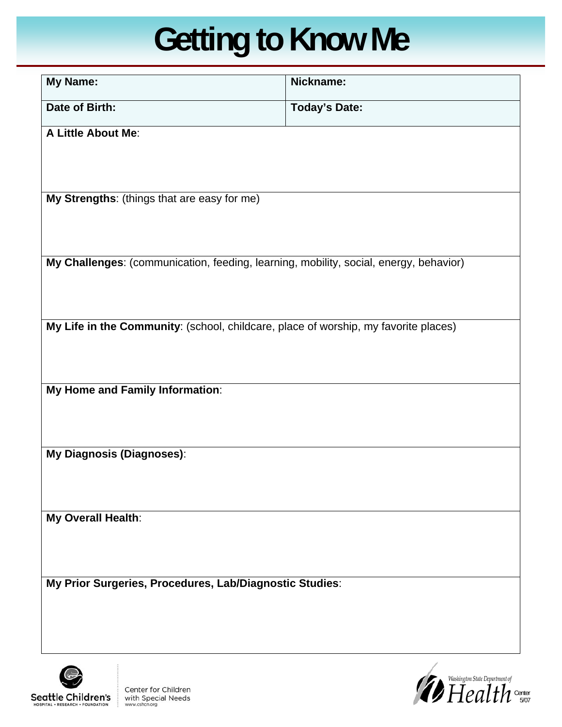# **Getting to Know Me**

| <b>My Name:</b>                                                                       | Nickname:            |  |  |  |  |
|---------------------------------------------------------------------------------------|----------------------|--|--|--|--|
| Date of Birth:                                                                        | <b>Today's Date:</b> |  |  |  |  |
| A Little About Me:                                                                    |                      |  |  |  |  |
| My Strengths: (things that are easy for me)                                           |                      |  |  |  |  |
| My Challenges: (communication, feeding, learning, mobility, social, energy, behavior) |                      |  |  |  |  |
| My Life in the Community: (school, childcare, place of worship, my favorite places)   |                      |  |  |  |  |
| My Home and Family Information:                                                       |                      |  |  |  |  |
| My Diagnosis (Diagnoses):                                                             |                      |  |  |  |  |
| My Overall Health:                                                                    |                      |  |  |  |  |
| My Prior Surgeries, Procedures, Lab/Diagnostic Studies:                               |                      |  |  |  |  |



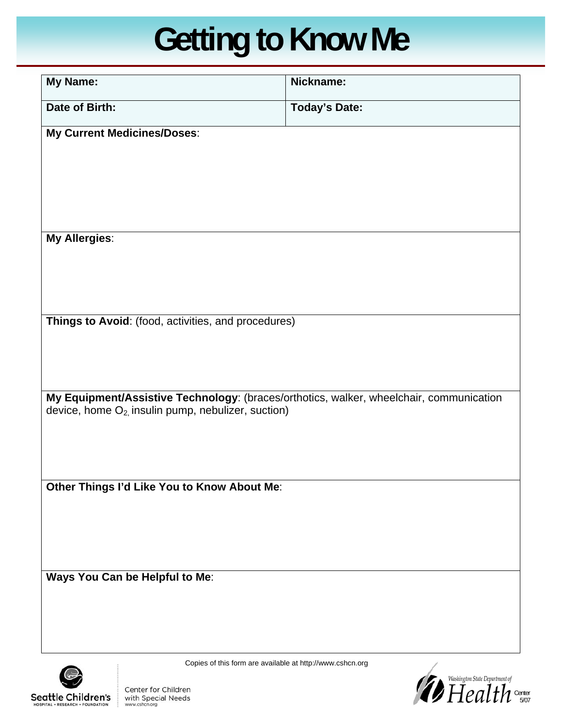# **Getting to Know Me**

| <b>My Name:</b>                                                                                                                                     | Nickname:            |
|-----------------------------------------------------------------------------------------------------------------------------------------------------|----------------------|
| Date of Birth:                                                                                                                                      | <b>Today's Date:</b> |
| My Current Medicines/Doses:                                                                                                                         |                      |
|                                                                                                                                                     |                      |
|                                                                                                                                                     |                      |
|                                                                                                                                                     |                      |
| <b>My Allergies:</b>                                                                                                                                |                      |
|                                                                                                                                                     |                      |
|                                                                                                                                                     |                      |
| Things to Avoid: (food, activities, and procedures)                                                                                                 |                      |
|                                                                                                                                                     |                      |
|                                                                                                                                                     |                      |
| My Equipment/Assistive Technology: (braces/orthotics, walker, wheelchair, communication<br>device, home $O_{2}$ , insulin pump, nebulizer, suction) |                      |
|                                                                                                                                                     |                      |
|                                                                                                                                                     |                      |
| Other Things I'd Like You to Know About Me:                                                                                                         |                      |
|                                                                                                                                                     |                      |
|                                                                                                                                                     |                      |
|                                                                                                                                                     |                      |
| Ways You Can be Helpful to Me:                                                                                                                      |                      |
|                                                                                                                                                     |                      |
|                                                                                                                                                     |                      |



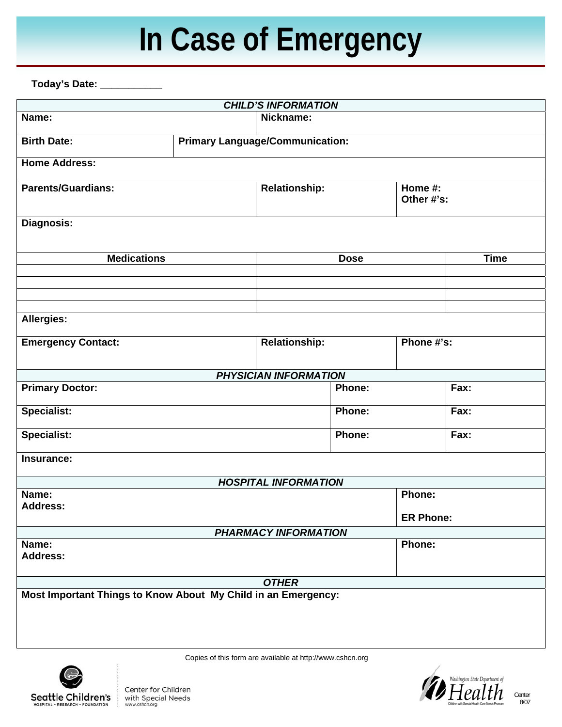# **In Case of Emergency**

**Today's Date: \_\_\_\_\_\_\_\_\_\_\_** 

| <b>CHILD'S INFORMATION</b>                                    |                                               |                             |               |                            |             |  |
|---------------------------------------------------------------|-----------------------------------------------|-----------------------------|---------------|----------------------------|-------------|--|
| Name:                                                         |                                               | Nickname:                   |               |                            |             |  |
| <b>Birth Date:</b>                                            | <b>Primary Language/Communication:</b>        |                             |               |                            |             |  |
| <b>Home Address:</b>                                          |                                               |                             |               |                            |             |  |
| <b>Parents/Guardians:</b>                                     | <b>Relationship:</b><br>Home #:<br>Other #'s: |                             |               |                            |             |  |
| <b>Diagnosis:</b>                                             |                                               |                             |               |                            |             |  |
| <b>Medications</b>                                            |                                               |                             | <b>Dose</b>   |                            | <b>Time</b> |  |
|                                                               |                                               |                             |               |                            |             |  |
|                                                               |                                               |                             |               |                            |             |  |
| <b>Allergies:</b>                                             |                                               |                             |               |                            |             |  |
| <b>Emergency Contact:</b>                                     |                                               | <b>Relationship:</b>        |               | Phone #'s:                 |             |  |
|                                                               |                                               | PHYSICIAN INFORMATION       |               |                            |             |  |
| <b>Primary Doctor:</b>                                        |                                               |                             | Phone:        |                            | Fax:        |  |
| <b>Specialist:</b>                                            |                                               |                             | Phone:        |                            | Fax:        |  |
| <b>Specialist:</b>                                            |                                               |                             | <b>Phone:</b> |                            | Fax:        |  |
| Insurance:                                                    |                                               |                             |               |                            |             |  |
|                                                               |                                               | <b>HOSPITAL INFORMATION</b> |               |                            |             |  |
| Name:<br><b>Address:</b>                                      |                                               |                             |               | Phone:<br><b>ER Phone:</b> |             |  |
|                                                               |                                               | PHARMACY INFORMATION        |               |                            |             |  |
| Name:                                                         |                                               |                             |               | Phone:                     |             |  |
| <b>Address:</b>                                               |                                               |                             |               |                            |             |  |
| <b>OTHER</b>                                                  |                                               |                             |               |                            |             |  |
| Most Important Things to Know About My Child in an Emergency: |                                               |                             |               |                            |             |  |



Copies of this form are available at http://www.cshcn.org



Center 8/07

Center for Children with Special Needs www.cshcn.org